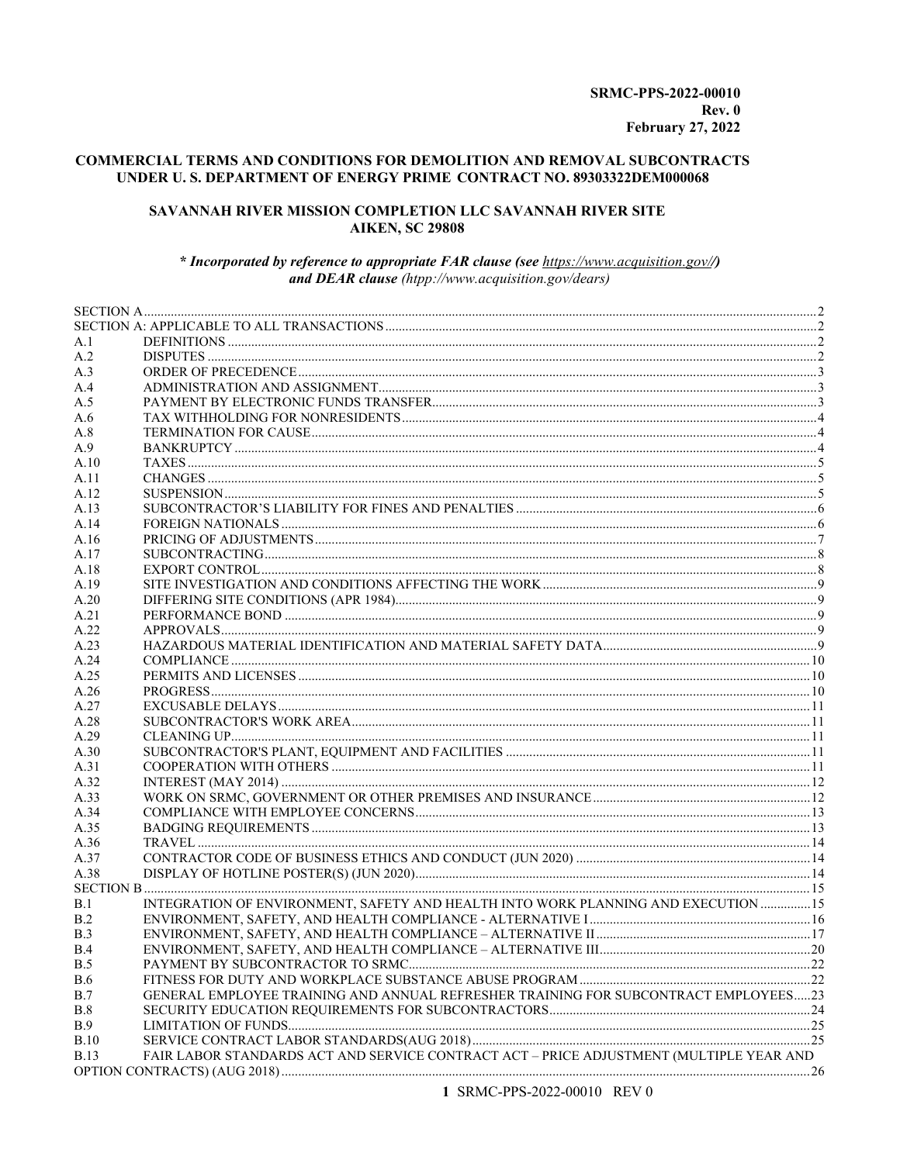### COMMERCIAL TERMS AND CONDITIONS FOR DEMOLITION AND REMOVAL SUBCONTRACTS UNDER U.S. DEPARTMENT OF ENERGY PRIME CONTRACT NO. 89303322DEM000068

#### SAVANNAH RIVER MISSION COMPLETION LLC SAVANNAH RIVER SITE **AIKEN, SC 29808**

#### \* Incorporated by reference to appropriate FAR clause (see https://www.acquisition.gov//) and DEAR clause (htpp://www.acquisition.gov/dears)

| A.1         |                                                                                         |  |
|-------------|-----------------------------------------------------------------------------------------|--|
| A.2         |                                                                                         |  |
| A.3         |                                                                                         |  |
| A.4         |                                                                                         |  |
| A.5         |                                                                                         |  |
| A.6         |                                                                                         |  |
| A.8         |                                                                                         |  |
| A.9         |                                                                                         |  |
| A.10        |                                                                                         |  |
| A.11        |                                                                                         |  |
| A.12        |                                                                                         |  |
| A.13        |                                                                                         |  |
| A.14        |                                                                                         |  |
| A.16        |                                                                                         |  |
| A.17        |                                                                                         |  |
| A.18        |                                                                                         |  |
| A.19        |                                                                                         |  |
| A.20        |                                                                                         |  |
| A.21        |                                                                                         |  |
| A.22        |                                                                                         |  |
| A.23        |                                                                                         |  |
| A.24        |                                                                                         |  |
| A.25        |                                                                                         |  |
| A.26        |                                                                                         |  |
| A.27        |                                                                                         |  |
| A.28        |                                                                                         |  |
| A.29        |                                                                                         |  |
| A.30        |                                                                                         |  |
| A.31        |                                                                                         |  |
| A.32        |                                                                                         |  |
| A.33        |                                                                                         |  |
| A.34        |                                                                                         |  |
| A.35        |                                                                                         |  |
| A.36        |                                                                                         |  |
| A.37        |                                                                                         |  |
| A.38        |                                                                                         |  |
|             |                                                                                         |  |
| B.1         | INTEGRATION OF ENVIRONMENT, SAFETY AND HEALTH INTO WORK PLANNING AND EXECUTION 15       |  |
| B.2         |                                                                                         |  |
| B.3         |                                                                                         |  |
| B.4         |                                                                                         |  |
| B.5         |                                                                                         |  |
| <b>B.6</b>  |                                                                                         |  |
| B.7         | GENERAL EMPLOYEE TRAINING AND ANNUAL REFRESHER TRAINING FOR SUBCONTRACT EMPLOYEES23     |  |
| B.8         |                                                                                         |  |
| <b>B.9</b>  |                                                                                         |  |
| B.10        |                                                                                         |  |
| <b>B.13</b> | FAIR LABOR STANDARDS ACT AND SERVICE CONTRACT ACT - PRICE ADJUSTMENT (MULTIPLE YEAR AND |  |
|             |                                                                                         |  |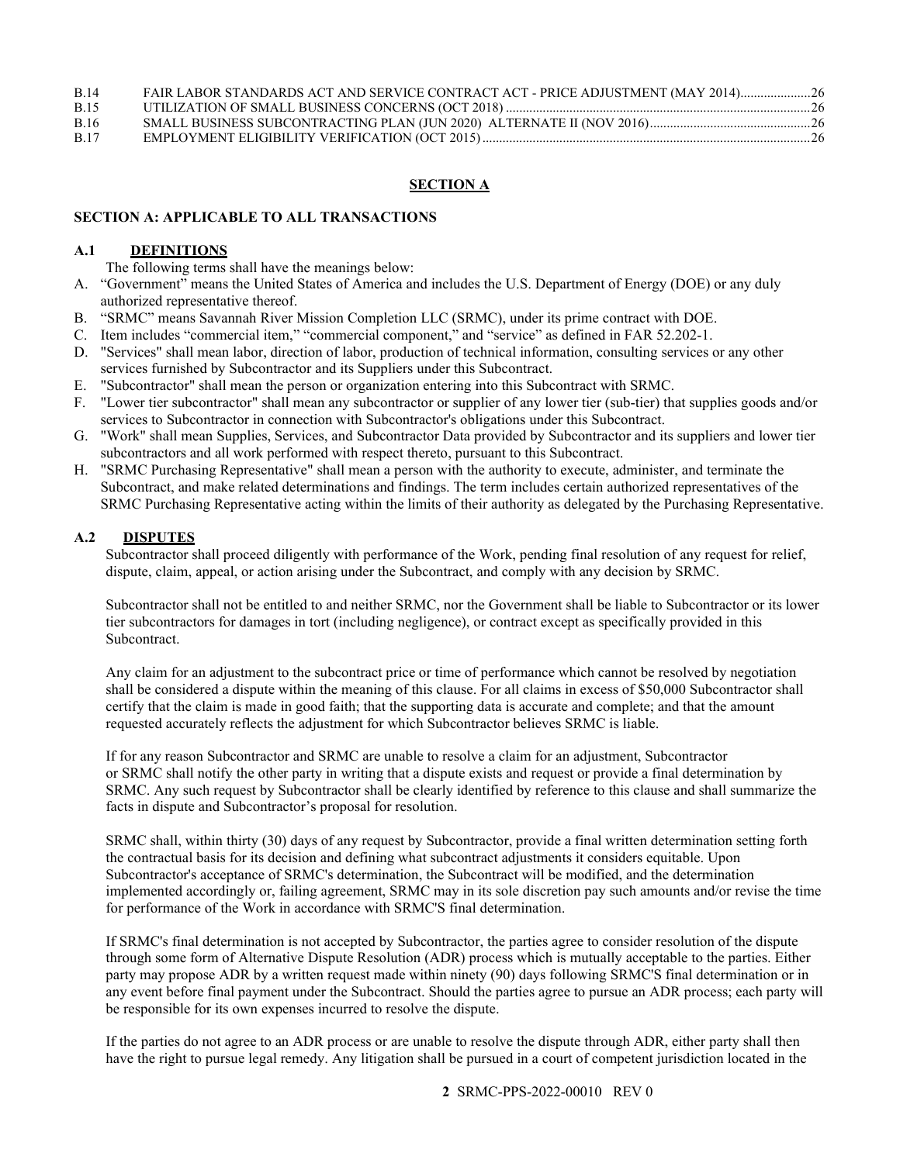| <b>B.14</b> | FAIR LABOR STANDARDS ACT AND SERVICE CONTRACT ACT - PRICE ADJUSTMENT (MAY 2014) 26 |  |
|-------------|------------------------------------------------------------------------------------|--|
| <b>B.15</b> |                                                                                    |  |
| <b>B.16</b> |                                                                                    |  |
| <b>B.17</b> |                                                                                    |  |

#### **SECTION A**

#### <span id="page-1-1"></span><span id="page-1-0"></span>**SECTION A: APPLICABLE TO ALL TRANSACTIONS**

#### <span id="page-1-2"></span>**A.1 DEFINITIONS**

The following terms shall have the meanings below:

- A. "Government" means the United States of America and includes the U.S. Department of Energy (DOE) or any duly authorized representative thereof.
- B. "SRMC" means Savannah River Mission Completion LLC (SRMC), under its prime contract with DOE.
- C. Item includes "commercial item," "commercial component," and "service" as defined in FAR 52.202-1.
- D. "Services" shall mean labor, direction of labor, production of technical information, consulting services or any other services furnished by Subcontractor and its Suppliers under this Subcontract.
- E. "Subcontractor" shall mean the person or organization entering into this Subcontract with SRMC.
- F. "Lower tier subcontractor" shall mean any subcontractor or supplier of any lower tier (sub-tier) that supplies goods and/or services to Subcontractor in connection with Subcontractor's obligations under this Subcontract.
- G. "Work" shall mean Supplies, Services, and Subcontractor Data provided by Subcontractor and its suppliers and lower tier subcontractors and all work performed with respect thereto, pursuant to this Subcontract.
- H. "SRMC Purchasing Representative" shall mean a person with the authority to execute, administer, and terminate the Subcontract, and make related determinations and findings. The term includes certain authorized representatives of the SRMC Purchasing Representative acting within the limits of their authority as delegated by the Purchasing Representative.

#### <span id="page-1-3"></span>**A.2 DISPUTES**

Subcontractor shall proceed diligently with performance of the Work, pending final resolution of any request for relief, dispute, claim, appeal, or action arising under the Subcontract, and comply with any decision by SRMC.

Subcontractor shall not be entitled to and neither SRMC, nor the Government shall be liable to Subcontractor or its lower tier subcontractors for damages in tort (including negligence), or contract except as specifically provided in this Subcontract.

Any claim for an adjustment to the subcontract price or time of performance which cannot be resolved by negotiation shall be considered a dispute within the meaning of this clause. For all claims in excess of \$50,000 Subcontractor shall certify that the claim is made in good faith; that the supporting data is accurate and complete; and that the amount requested accurately reflects the adjustment for which Subcontractor believes SRMC is liable.

If for any reason Subcontractor and SRMC are unable to resolve a claim for an adjustment, Subcontractor or SRMC shall notify the other party in writing that a dispute exists and request or provide a final determination by SRMC. Any such request by Subcontractor shall be clearly identified by reference to this clause and shall summarize the facts in dispute and Subcontractor's proposal for resolution.

SRMC shall, within thirty (30) days of any request by Subcontractor, provide a final written determination setting forth the contractual basis for its decision and defining what subcontract adjustments it considers equitable. Upon Subcontractor's acceptance of SRMC's determination, the Subcontract will be modified, and the determination implemented accordingly or, failing agreement, SRMC may in its sole discretion pay such amounts and/or revise the time for performance of the Work in accordance with SRMC'S final determination.

If SRMC's final determination is not accepted by Subcontractor, the parties agree to consider resolution of the dispute through some form of Alternative Dispute Resolution (ADR) process which is mutually acceptable to the parties. Either party may propose ADR by a written request made within ninety (90) days following SRMC'S final determination or in any event before final payment under the Subcontract. Should the parties agree to pursue an ADR process; each party will be responsible for its own expenses incurred to resolve the dispute.

If the parties do not agree to an ADR process or are unable to resolve the dispute through ADR, either party shall then have the right to pursue legal remedy. Any litigation shall be pursued in a court of competent jurisdiction located in the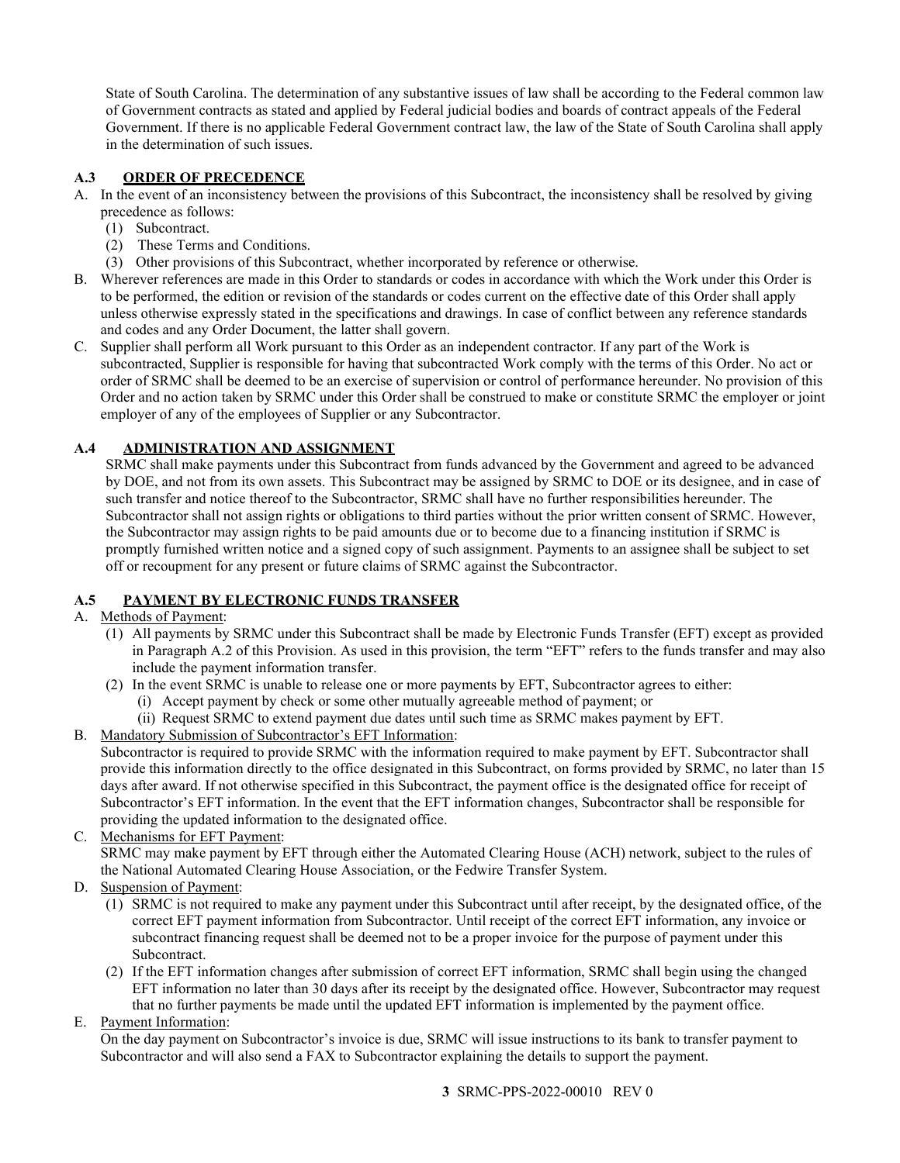State of South Carolina. The determination of any substantive issues of law shall be according to the Federal common law of Government contracts as stated and applied by Federal judicial bodies and boards of contract appeals of the Federal Government. If there is no applicable Federal Government contract law, the law of the State of South Carolina shall apply in the determination of such issues.

## <span id="page-2-0"></span>**A.3 ORDER OF PRECEDENCE**

- A. In the event of an inconsistency between the provisions of this Subcontract, the inconsistency shall be resolved by giving precedence as follows:
	- (1) Subcontract.
	- (2) These Terms and Conditions.
	- (3) Other provisions of this Subcontract, whether incorporated by reference or otherwise.
- B. Wherever references are made in this Order to standards or codes in accordance with which the Work under this Order is to be performed, the edition or revision of the standards or codes current on the effective date of this Order shall apply unless otherwise expressly stated in the specifications and drawings. In case of conflict between any reference standards and codes and any Order Document, the latter shall govern.
- C. Supplier shall perform all Work pursuant to this Order as an independent contractor. If any part of the Work is subcontracted, Supplier is responsible for having that subcontracted Work comply with the terms of this Order. No act or order of SRMC shall be deemed to be an exercise of supervision or control of performance hereunder. No provision of this Order and no action taken by SRMC under this Order shall be construed to make or constitute SRMC the employer or joint employer of any of the employees of Supplier or any Subcontractor.

## <span id="page-2-1"></span>**A.4 ADMINISTRATION AND ASSIGNMENT**

SRMC shall make payments under this Subcontract from funds advanced by the Government and agreed to be advanced by DOE, and not from its own assets. This Subcontract may be assigned by SRMC to DOE or its designee, and in case of such transfer and notice thereof to the Subcontractor, SRMC shall have no further responsibilities hereunder. The Subcontractor shall not assign rights or obligations to third parties without the prior written consent of SRMC. However, the Subcontractor may assign rights to be paid amounts due or to become due to a financing institution if SRMC is promptly furnished written notice and a signed copy of such assignment. Payments to an assignee shall be subject to set off or recoupment for any present or future claims of SRMC against the Subcontractor.

## <span id="page-2-2"></span>**A.5 PAYMENT BY ELECTRONIC FUNDS TRANSFER**

## A. Methods of Payment:

- (1) All payments by SRMC under this Subcontract shall be made by Electronic Funds Transfer (EFT) except as provided in Paragraph A.2 of this Provision. As used in this provision, the term "EFT" refers to the funds transfer and may also include the payment information transfer.
- (2) In the event SRMC is unable to release one or more payments by EFT, Subcontractor agrees to either:
	- (i) Accept payment by check or some other mutually agreeable method of payment; or
	- (ii) Request SRMC to extend payment due dates until such time as SRMC makes payment by EFT.
- B. Mandatory Submission of Subcontractor's EFT Information: Subcontractor is required to provide SRMC with the information required to make payment by EFT. Subcontractor shall provide this information directly to the office designated in this Subcontract, on forms provided by SRMC, no later than 15 days after award. If not otherwise specified in this Subcontract, the payment office is the designated office for receipt of Subcontractor's EFT information. In the event that the EFT information changes, Subcontractor shall be responsible for providing the updated information to the designated office.
- C. Mechanisms for EFT Payment: SRMC may make payment by EFT through either the Automated Clearing House (ACH) network, subject to the rules of the National Automated Clearing House Association, or the Fedwire Transfer System.
- D. Suspension of Payment:
	- (1) SRMC is not required to make any payment under this Subcontract until after receipt, by the designated office, of the correct EFT payment information from Subcontractor. Until receipt of the correct EFT information, any invoice or subcontract financing request shall be deemed not to be a proper invoice for the purpose of payment under this Subcontract.
	- (2) If the EFT information changes after submission of correct EFT information, SRMC shall begin using the changed EFT information no later than 30 days after its receipt by the designated office. However, Subcontractor may request that no further payments be made until the updated EFT information is implemented by the payment office.

E. Payment Information:

On the day payment on Subcontractor's invoice is due, SRMC will issue instructions to its bank to transfer payment to Subcontractor and will also send a FAX to Subcontractor explaining the details to support the payment.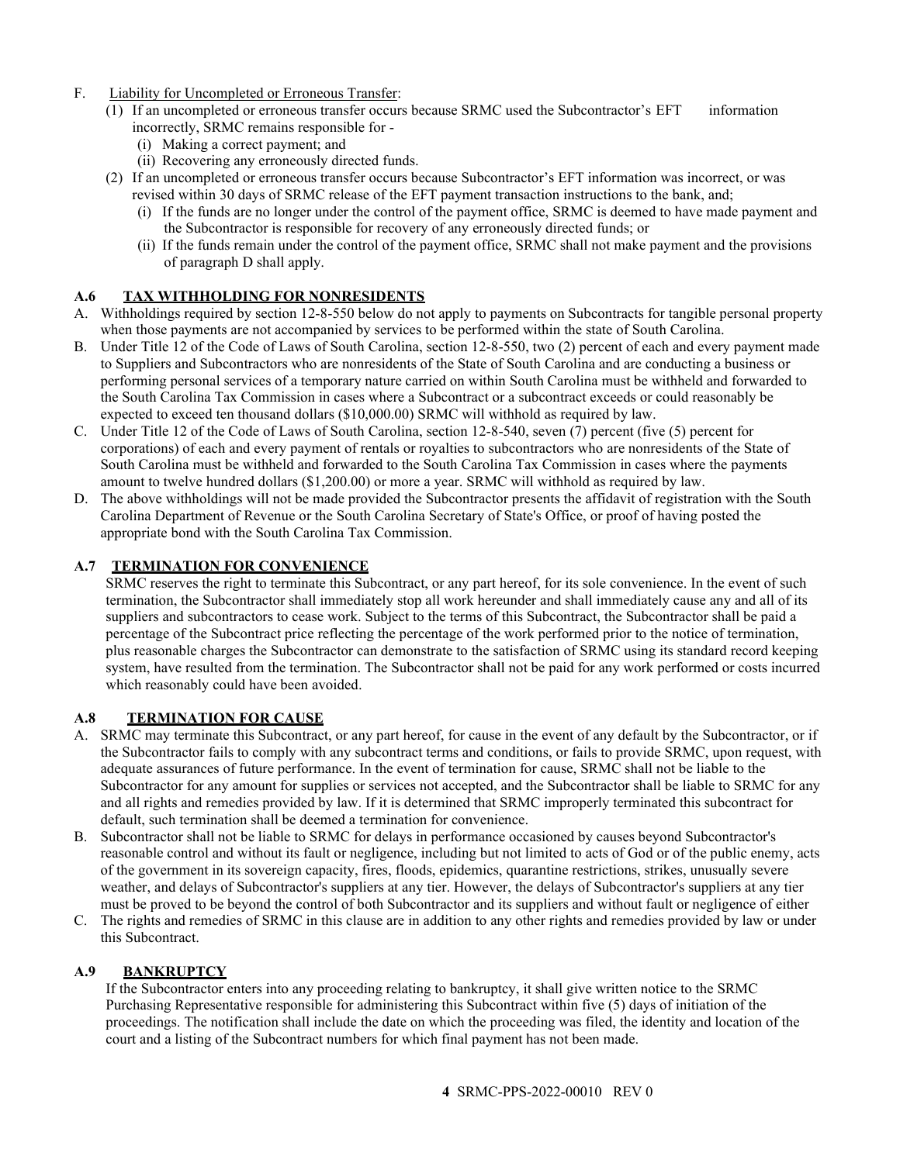- F. Liability for Uncompleted or Erroneous Transfer:
	- (1) If an uncompleted or erroneous transfer occurs because SRMC used the Subcontractor's EFT information incorrectly, SRMC remains responsible for -
		- (i) Making a correct payment; and
		- (ii) Recovering any erroneously directed funds.
	- (2) If an uncompleted or erroneous transfer occurs because Subcontractor's EFT information was incorrect, or was revised within 30 days of SRMC release of the EFT payment transaction instructions to the bank, and;
		- (i) If the funds are no longer under the control of the payment office, SRMC is deemed to have made payment and the Subcontractor is responsible for recovery of any erroneously directed funds; or
		- (ii) If the funds remain under the control of the payment office, SRMC shall not make payment and the provisions of paragraph D shall apply.

## <span id="page-3-0"></span>**A.6 TAX WITHHOLDING FOR NONRESIDENTS**

- A. Withholdings required by section 12-8-550 below do not apply to payments on Subcontracts for tangible personal property when those payments are not accompanied by services to be performed within the state of South Carolina.
- B. Under Title 12 of the Code of Laws of South Carolina, section 12-8-550, two (2) percent of each and every payment made to Suppliers and Subcontractors who are nonresidents of the State of South Carolina and are conducting a business or performing personal services of a temporary nature carried on within South Carolina must be withheld and forwarded to the South Carolina Tax Commission in cases where a Subcontract or a subcontract exceeds or could reasonably be expected to exceed ten thousand dollars (\$10,000.00) SRMC will withhold as required by law.
- C. Under Title 12 of the Code of Laws of South Carolina, section 12-8-540, seven (7) percent (five (5) percent for corporations) of each and every payment of rentals or royalties to subcontractors who are nonresidents of the State of South Carolina must be withheld and forwarded to the South Carolina Tax Commission in cases where the payments amount to twelve hundred dollars (\$1,200.00) or more a year. SRMC will withhold as required by law.
- D. The above withholdings will not be made provided the Subcontractor presents the affidavit of registration with the South Carolina Department of Revenue or the South Carolina Secretary of State's Office, or proof of having posted the appropriate bond with the South Carolina Tax Commission.

## **A.7 TERMINATION FOR CONVENIENCE**

SRMC reserves the right to terminate this Subcontract, or any part hereof, for its sole convenience. In the event of such termination, the Subcontractor shall immediately stop all work hereunder and shall immediately cause any and all of its suppliers and subcontractors to cease work. Subject to the terms of this Subcontract, the Subcontractor shall be paid a percentage of the Subcontract price reflecting the percentage of the work performed prior to the notice of termination, plus reasonable charges the Subcontractor can demonstrate to the satisfaction of SRMC using its standard record keeping system, have resulted from the termination. The Subcontractor shall not be paid for any work performed or costs incurred which reasonably could have been avoided.

## <span id="page-3-1"></span>**A.8 TERMINATION FOR CAUSE**

- A. SRMC may terminate this Subcontract, or any part hereof, for cause in the event of any default by the Subcontractor, or if the Subcontractor fails to comply with any subcontract terms and conditions, or fails to provide SRMC, upon request, with adequate assurances of future performance. In the event of termination for cause, SRMC shall not be liable to the Subcontractor for any amount for supplies or services not accepted, and the Subcontractor shall be liable to SRMC for any and all rights and remedies provided by law. If it is determined that SRMC improperly terminated this subcontract for default, such termination shall be deemed a termination for convenience.
- B. Subcontractor shall not be liable to SRMC for delays in performance occasioned by causes beyond Subcontractor's reasonable control and without its fault or negligence, including but not limited to acts of God or of the public enemy, acts of the government in its sovereign capacity, fires, floods, epidemics, quarantine restrictions, strikes, unusually severe weather, and delays of Subcontractor's suppliers at any tier. However, the delays of Subcontractor's suppliers at any tier must be proved to be beyond the control of both Subcontractor and its suppliers and without fault or negligence of either
- C. The rights and remedies of SRMC in this clause are in addition to any other rights and remedies provided by law or under this Subcontract.

## <span id="page-3-2"></span>**A.9 BANKRUPTCY**

If the Subcontractor enters into any proceeding relating to bankruptcy, it shall give written notice to the SRMC Purchasing Representative responsible for administering this Subcontract within five (5) days of initiation of the proceedings. The notification shall include the date on which the proceeding was filed, the identity and location of the court and a listing of the Subcontract numbers for which final payment has not been made.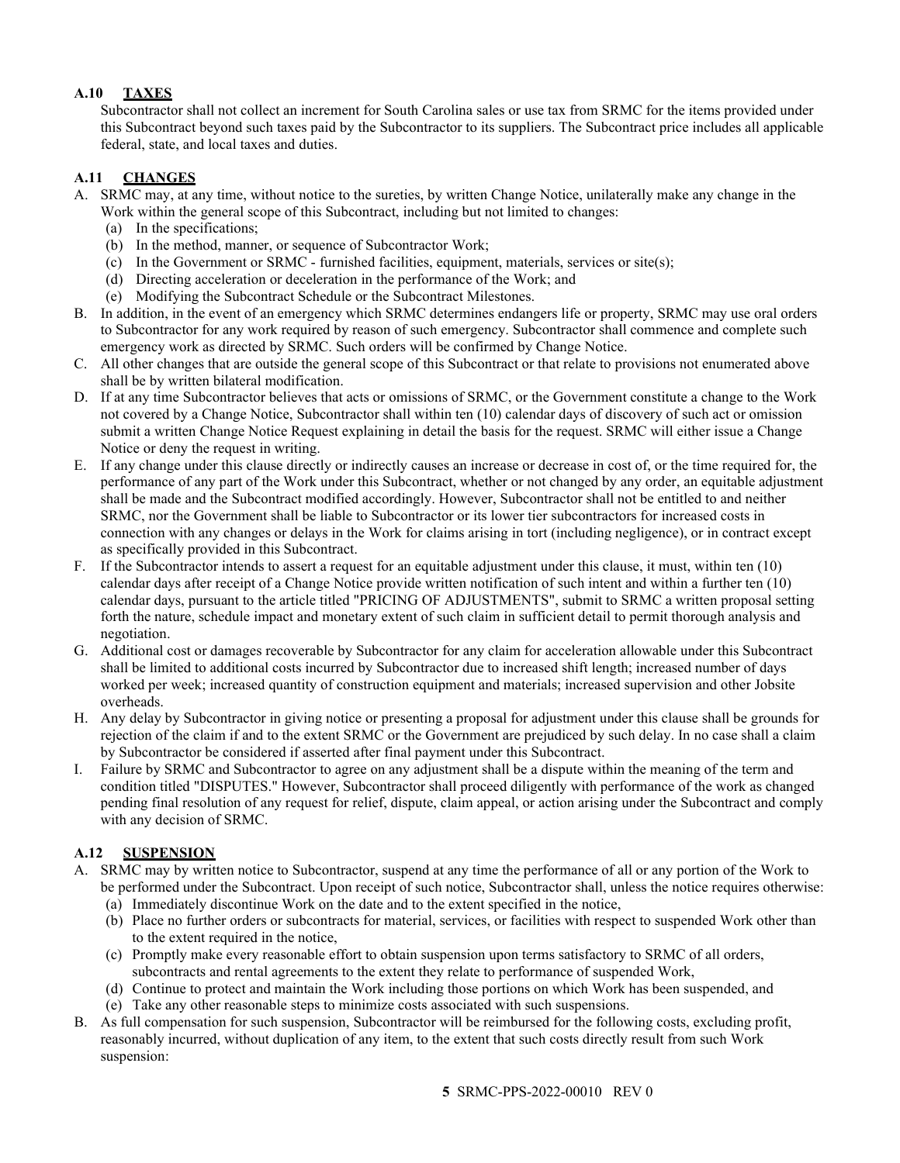## <span id="page-4-0"></span>**A.10 TAXES**

Subcontractor shall not collect an increment for South Carolina sales or use tax from SRMC for the items provided under this Subcontract beyond such taxes paid by the Subcontractor to its suppliers. The Subcontract price includes all applicable federal, state, and local taxes and duties.

## <span id="page-4-1"></span>**A.11 CHANGES**

- A. SRMC may, at any time, without notice to the sureties, by written Change Notice, unilaterally make any change in the Work within the general scope of this Subcontract, including but not limited to changes:
	- (a) In the specifications;
	- (b) In the method, manner, or sequence of Subcontractor Work;
	- (c) In the Government or SRMC furnished facilities, equipment, materials, services or site(s);
	- (d) Directing acceleration or deceleration in the performance of the Work; and
	- (e) Modifying the Subcontract Schedule or the Subcontract Milestones.
- B. In addition, in the event of an emergency which SRMC determines endangers life or property, SRMC may use oral orders to Subcontractor for any work required by reason of such emergency. Subcontractor shall commence and complete such emergency work as directed by SRMC. Such orders will be confirmed by Change Notice.
- C. All other changes that are outside the general scope of this Subcontract or that relate to provisions not enumerated above shall be by written bilateral modification.
- D. If at any time Subcontractor believes that acts or omissions of SRMC, or the Government constitute a change to the Work not covered by a Change Notice, Subcontractor shall within ten (10) calendar days of discovery of such act or omission submit a written Change Notice Request explaining in detail the basis for the request. SRMC will either issue a Change Notice or deny the request in writing.
- E. If any change under this clause directly or indirectly causes an increase or decrease in cost of, or the time required for, the performance of any part of the Work under this Subcontract, whether or not changed by any order, an equitable adjustment shall be made and the Subcontract modified accordingly. However, Subcontractor shall not be entitled to and neither SRMC, nor the Government shall be liable to Subcontractor or its lower tier subcontractors for increased costs in connection with any changes or delays in the Work for claims arising in tort (including negligence), or in contract except as specifically provided in this Subcontract.
- F. If the Subcontractor intends to assert a request for an equitable adjustment under this clause, it must, within ten (10) calendar days after receipt of a Change Notice provide written notification of such intent and within a further ten (10) calendar days, pursuant to the article titled "PRICING OF ADJUSTMENTS", submit to SRMC a written proposal setting forth the nature, schedule impact and monetary extent of such claim in sufficient detail to permit thorough analysis and negotiation.
- G. Additional cost or damages recoverable by Subcontractor for any claim for acceleration allowable under this Subcontract shall be limited to additional costs incurred by Subcontractor due to increased shift length; increased number of days worked per week; increased quantity of construction equipment and materials; increased supervision and other Jobsite overheads.
- H. Any delay by Subcontractor in giving notice or presenting a proposal for adjustment under this clause shall be grounds for rejection of the claim if and to the extent SRMC or the Government are prejudiced by such delay. In no case shall a claim by Subcontractor be considered if asserted after final payment under this Subcontract.
- I. Failure by SRMC and Subcontractor to agree on any adjustment shall be a dispute within the meaning of the term and condition titled "DISPUTES." However, Subcontractor shall proceed diligently with performance of the work as changed pending final resolution of any request for relief, dispute, claim appeal, or action arising under the Subcontract and comply with any decision of SRMC.

## <span id="page-4-2"></span>**A.12 SUSPENSION**

- A. SRMC may by written notice to Subcontractor, suspend at any time the performance of all or any portion of the Work to be performed under the Subcontract. Upon receipt of such notice, Subcontractor shall, unless the notice requires otherwise:
	- (a) Immediately discontinue Work on the date and to the extent specified in the notice,
	- (b) Place no further orders or subcontracts for material, services, or facilities with respect to suspended Work other than to the extent required in the notice,
	- (c) Promptly make every reasonable effort to obtain suspension upon terms satisfactory to SRMC of all orders, subcontracts and rental agreements to the extent they relate to performance of suspended Work,
	- (d) Continue to protect and maintain the Work including those portions on which Work has been suspended, and
	- (e) Take any other reasonable steps to minimize costs associated with such suspensions.
- B. As full compensation for such suspension, Subcontractor will be reimbursed for the following costs, excluding profit, reasonably incurred, without duplication of any item, to the extent that such costs directly result from such Work suspension: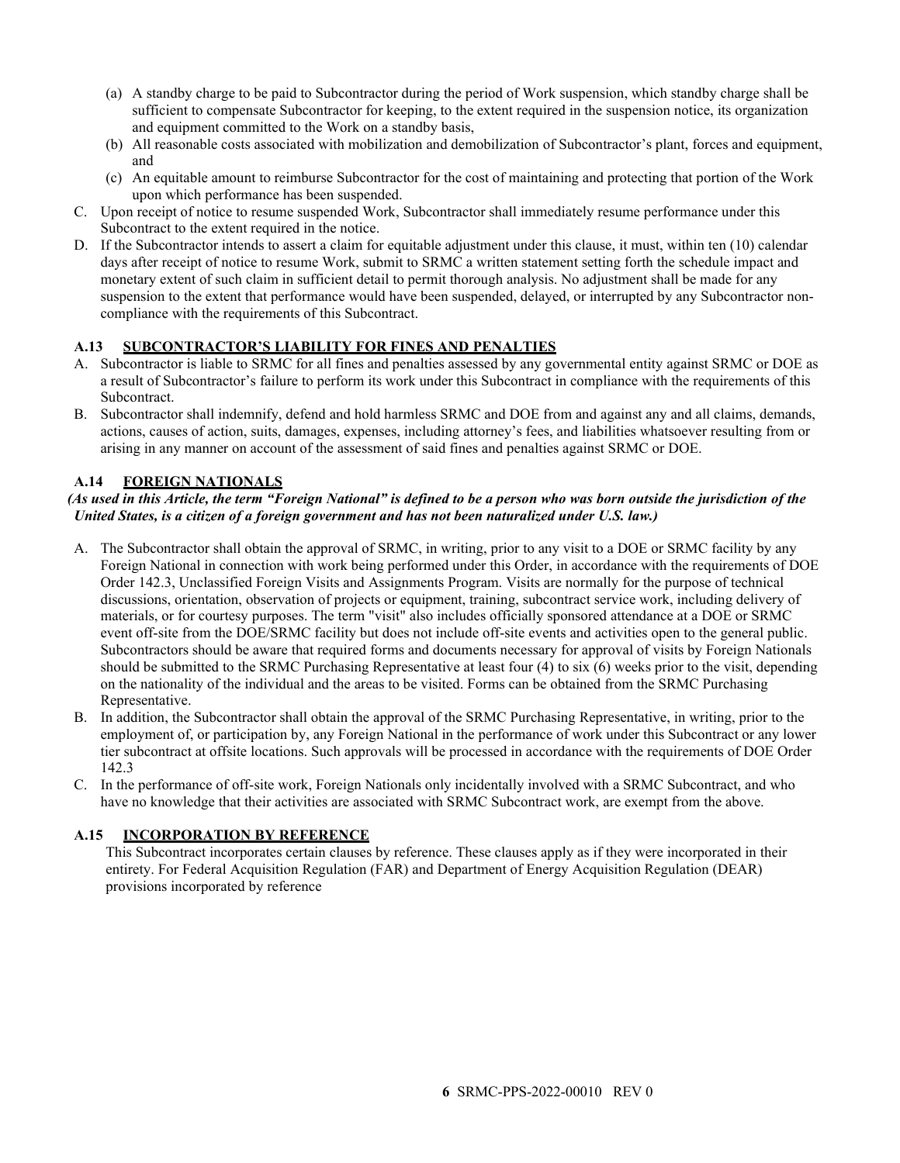- (a) A standby charge to be paid to Subcontractor during the period of Work suspension, which standby charge shall be sufficient to compensate Subcontractor for keeping, to the extent required in the suspension notice, its organization and equipment committed to the Work on a standby basis,
- (b) All reasonable costs associated with mobilization and demobilization of Subcontractor's plant, forces and equipment, and
- (c) An equitable amount to reimburse Subcontractor for the cost of maintaining and protecting that portion of the Work upon which performance has been suspended.
- C. Upon receipt of notice to resume suspended Work, Subcontractor shall immediately resume performance under this Subcontract to the extent required in the notice.
- D. If the Subcontractor intends to assert a claim for equitable adjustment under this clause, it must, within ten (10) calendar days after receipt of notice to resume Work, submit to SRMC a written statement setting forth the schedule impact and monetary extent of such claim in sufficient detail to permit thorough analysis. No adjustment shall be made for any suspension to the extent that performance would have been suspended, delayed, or interrupted by any Subcontractor noncompliance with the requirements of this Subcontract.

## <span id="page-5-0"></span>**A.13 SUBCONTRACTOR'S LIABILITY FOR FINES AND PENALTIES**

- A. Subcontractor is liable to SRMC for all fines and penalties assessed by any governmental entity against SRMC or DOE as a result of Subcontractor's failure to perform its work under this Subcontract in compliance with the requirements of this Subcontract.
- B. Subcontractor shall indemnify, defend and hold harmless SRMC and DOE from and against any and all claims, demands, actions, causes of action, suits, damages, expenses, including attorney's fees, and liabilities whatsoever resulting from or arising in any manner on account of the assessment of said fines and penalties against SRMC or DOE.

### <span id="page-5-1"></span>**A.14 FOREIGN NATIONALS**

### *(As used in this Article, the term "Foreign National" is defined to be a person who was born outside the jurisdiction of the United States, is a citizen of a foreign government and has not been naturalized under U.S. law.)*

- A. The Subcontractor shall obtain the approval of SRMC, in writing, prior to any visit to a DOE or SRMC facility by any Foreign National in connection with work being performed under this Order, in accordance with the requirements of DOE Order 142.3, Unclassified Foreign Visits and Assignments Program. Visits are normally for the purpose of technical discussions, orientation, observation of projects or equipment, training, subcontract service work, including delivery of materials, or for courtesy purposes. The term "visit" also includes officially sponsored attendance at a DOE or SRMC event off-site from the DOE/SRMC facility but does not include off-site events and activities open to the general public. Subcontractors should be aware that required forms and documents necessary for approval of visits by Foreign Nationals should be submitted to the SRMC Purchasing Representative at least four (4) to six (6) weeks prior to the visit, depending on the nationality of the individual and the areas to be visited. Forms can be obtained from the SRMC Purchasing Representative.
- B. In addition, the Subcontractor shall obtain the approval of the SRMC Purchasing Representative, in writing, prior to the employment of, or participation by, any Foreign National in the performance of work under this Subcontract or any lower tier subcontract at offsite locations. Such approvals will be processed in accordance with the requirements of DOE Order 142.3
- C. In the performance of off-site work, Foreign Nationals only incidentally involved with a SRMC Subcontract, and who have no knowledge that their activities are associated with SRMC Subcontract work, are exempt from the above.

### **A.15 INCORPORATION BY REFERENCE**

This Subcontract incorporates certain clauses by reference. These clauses apply as if they were incorporated in their entirety. For Federal Acquisition Regulation (FAR) and Department of Energy Acquisition Regulation (DEAR) provisions incorporated by reference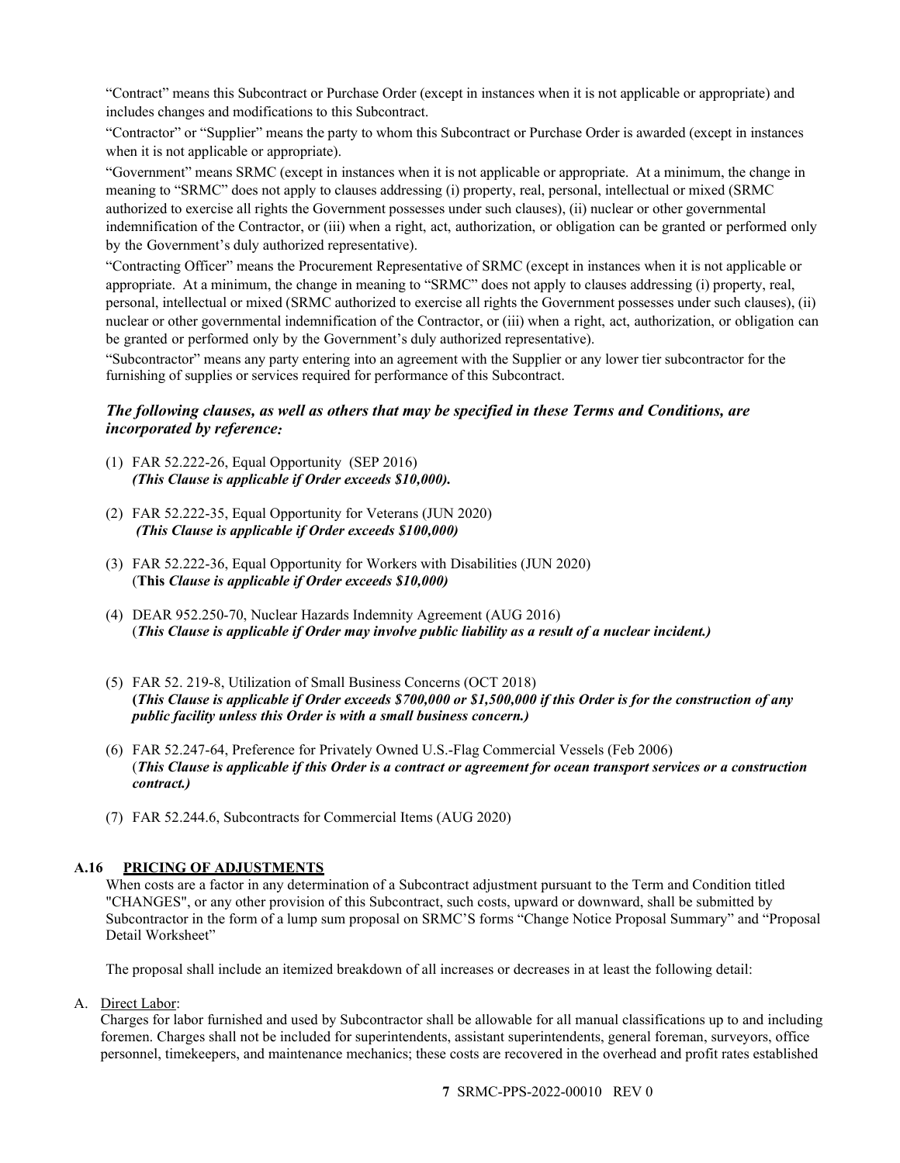"Contract" means this Subcontract or Purchase Order (except in instances when it is not applicable or appropriate) and includes changes and modifications to this Subcontract.

"Contractor" or "Supplier" means the party to whom this Subcontract or Purchase Order is awarded (except in instances when it is not applicable or appropriate).

"Government" means SRMC (except in instances when it is not applicable or appropriate. At a minimum, the change in meaning to "SRMC" does not apply to clauses addressing (i) property, real, personal, intellectual or mixed (SRMC authorized to exercise all rights the Government possesses under such clauses), (ii) nuclear or other governmental indemnification of the Contractor, or (iii) when a right, act, authorization, or obligation can be granted or performed only by the Government's duly authorized representative).

"Contracting Officer" means the Procurement Representative of SRMC (except in instances when it is not applicable or appropriate. At a minimum, the change in meaning to "SRMC" does not apply to clauses addressing (i) property, real, personal, intellectual or mixed (SRMC authorized to exercise all rights the Government possesses under such clauses), (ii) nuclear or other governmental indemnification of the Contractor, or (iii) when a right, act, authorization, or obligation can be granted or performed only by the Government's duly authorized representative).

"Subcontractor" means any party entering into an agreement with the Supplier or any lower tier subcontractor for the furnishing of supplies or services required for performance of this Subcontract.

## *The following clauses, as well as others that may be specified in these Terms and Conditions, are incorporated by reference:*

- (1) FAR 52.222-26, Equal Opportunity (SEP 2016) *(This Clause is applicable if Order exceeds \$10,000).*
- (2) FAR 52.222-35, Equal Opportunity for Veterans (JUN 2020) *(This Clause is applicable if Order exceeds \$100,000)*
- (3) FAR 52.222-36, Equal Opportunity for Workers with Disabilities (JUN 2020) (**This** *Clause is applicable if Order exceeds \$10,000)*
- (4) DEAR 952.250-70, Nuclear Hazards Indemnity Agreement (AUG 2016) (*This Clause is applicable if Order may involve public liability as a result of a nuclear incident.)*
- (5) FAR 52. 219-8, Utilization of Small Business Concerns (OCT 2018) **(***This Clause is applicable if Order exceeds \$700,000 or \$1,500,000 if this Order is for the construction of any public facility unless this Order is with a small business concern.)*
- (6) FAR 52.247-64, Preference for Privately Owned U.S.-Flag Commercial Vessels (Feb 2006) (*This Clause is applicable if this Order is a contract or agreement for ocean transport services or a construction contract.)*
- (7) FAR 52.244.6, Subcontracts for Commercial Items (AUG 2020)

### <span id="page-6-0"></span>**A.16 PRICING OF ADJUSTMENTS**

When costs are a factor in any determination of a Subcontract adjustment pursuant to the Term and Condition titled "CHANGES", or any other provision of this Subcontract, such costs, upward or downward, shall be submitted by Subcontractor in the form of a lump sum proposal on SRMC'S forms "Change Notice Proposal Summary" and "Proposal Detail Worksheet"

The proposal shall include an itemized breakdown of all increases or decreases in at least the following detail:

A. Direct Labor:

Charges for labor furnished and used by Subcontractor shall be allowable for all manual classifications up to and including foremen. Charges shall not be included for superintendents, assistant superintendents, general foreman, surveyors, office personnel, timekeepers, and maintenance mechanics; these costs are recovered in the overhead and profit rates established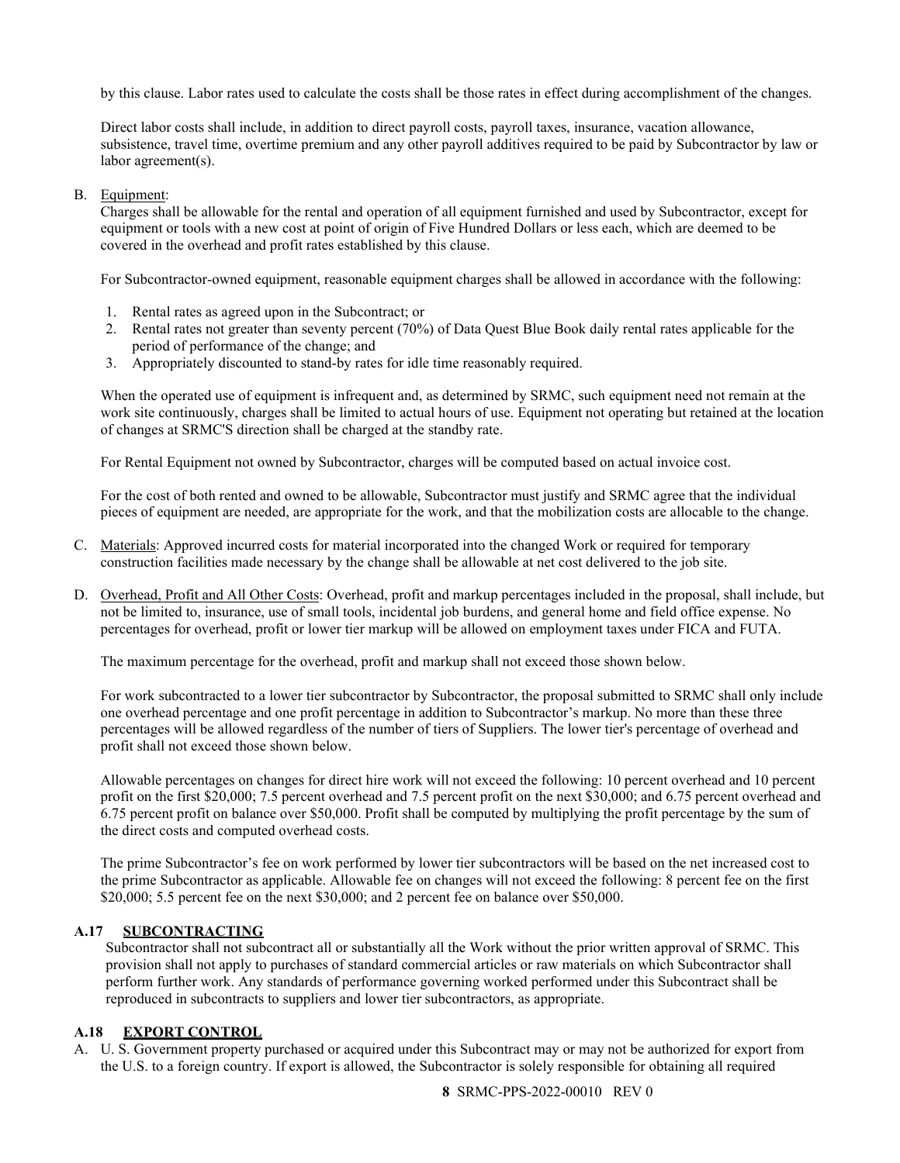by this clause. Labor rates used to calculate the costs shall be those rates in effect during accomplishment of the changes.

Direct labor costs shall include, in addition to direct payroll costs, payroll taxes, insurance, vacation allowance, subsistence, travel time, overtime premium and any other payroll additives required to be paid by Subcontractor by law or labor agreement(s).

### B. Equipment:

Charges shall be allowable for the rental and operation of all equipment furnished and used by Subcontractor, except for equipment or tools with a new cost at point of origin of Five Hundred Dollars or less each, which are deemed to be covered in the overhead and profit rates established by this clause.

For Subcontractor-owned equipment, reasonable equipment charges shall be allowed in accordance with the following:

- 1. Rental rates as agreed upon in the Subcontract; or
- 2. Rental rates not greater than seventy percent (70%) of Data Quest Blue Book daily rental rates applicable for the period of performance of the change; and
- 3. Appropriately discounted to stand-by rates for idle time reasonably required.

When the operated use of equipment is infrequent and, as determined by SRMC, such equipment need not remain at the work site continuously, charges shall be limited to actual hours of use. Equipment not operating but retained at the location of changes at SRMC'S direction shall be charged at the standby rate.

For Rental Equipment not owned by Subcontractor, charges will be computed based on actual invoice cost.

For the cost of both rented and owned to be allowable, Subcontractor must justify and SRMC agree that the individual pieces of equipment are needed, are appropriate for the work, and that the mobilization costs are allocable to the change.

- C. Materials: Approved incurred costs for material incorporated into the changed Work or required for temporary construction facilities made necessary by the change shall be allowable at net cost delivered to the job site.
- D. Overhead, Profit and All Other Costs: Overhead, profit and markup percentages included in the proposal, shall include, but not be limited to, insurance, use of small tools, incidental job burdens, and general home and field office expense. No percentages for overhead, profit or lower tier markup will be allowed on employment taxes under FICA and FUTA.

The maximum percentage for the overhead, profit and markup shall not exceed those shown below.

For work subcontracted to a lower tier subcontractor by Subcontractor, the proposal submitted to SRMC shall only include one overhead percentage and one profit percentage in addition to Subcontractor's markup. No more than these three percentages will be allowed regardless of the number of tiers of Suppliers. The lower tier's percentage of overhead and profit shall not exceed those shown below.

Allowable percentages on changes for direct hire work will not exceed the following: 10 percent overhead and 10 percent profit on the first \$20,000; 7.5 percent overhead and 7.5 percent profit on the next \$30,000; and 6.75 percent overhead and 6.75 percent profit on balance over \$50,000. Profit shall be computed by multiplying the profit percentage by the sum of the direct costs and computed overhead costs.

The prime Subcontractor's fee on work performed by lower tier subcontractors will be based on the net increased cost to the prime Subcontractor as applicable. Allowable fee on changes will not exceed the following: 8 percent fee on the first \$20,000; 5.5 percent fee on the next \$30,000; and 2 percent fee on balance over \$50,000.

### <span id="page-7-0"></span>**A.17 SUBCONTRACTING**

Subcontractor shall not subcontract all or substantially all the Work without the prior written approval of SRMC. This provision shall not apply to purchases of standard commercial articles or raw materials on which Subcontractor shall perform further work. Any standards of performance governing worked performed under this Subcontract shall be reproduced in subcontracts to suppliers and lower tier subcontractors, as appropriate.

### <span id="page-7-1"></span>**A.18 EXPORT CONTROL**

A. U. S. Government property purchased or acquired under this Subcontract may or may not be authorized for export from the U.S. to a foreign country. If export is allowed, the Subcontractor is solely responsible for obtaining all required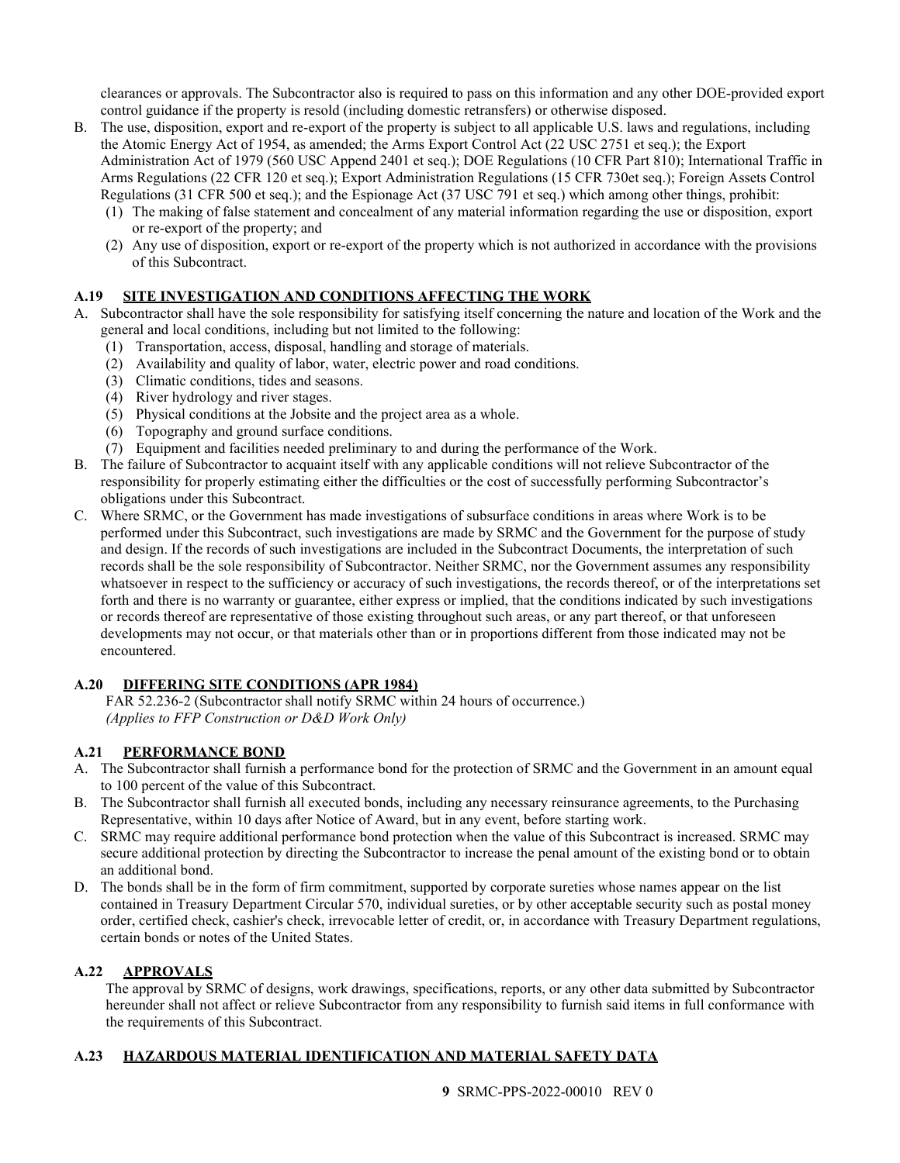clearances or approvals. The Subcontractor also is required to pass on this information and any other DOE-provided export control guidance if the property is resold (including domestic retransfers) or otherwise disposed.

- B. The use, disposition, export and re-export of the property is subject to all applicable U.S. laws and regulations, including the Atomic Energy Act of 1954, as amended; the Arms Export Control Act (22 USC 2751 et seq.); the Export Administration Act of 1979 (560 USC Append 2401 et seq.); DOE Regulations (10 CFR Part 810); International Traffic in Arms Regulations (22 CFR 120 et seq.); Export Administration Regulations (15 CFR 730et seq.); Foreign Assets Control Regulations (31 CFR 500 et seq.); and the Espionage Act (37 USC 791 et seq.) which among other things, prohibit:
	- (1) The making of false statement and concealment of any material information regarding the use or disposition, export or re-export of the property; and
	- (2) Any use of disposition, export or re-export of the property which is not authorized in accordance with the provisions of this Subcontract.

## <span id="page-8-0"></span>**A.19 SITE INVESTIGATION AND CONDITIONS AFFECTING THE WORK**

- A. Subcontractor shall have the sole responsibility for satisfying itself concerning the nature and location of the Work and the general and local conditions, including but not limited to the following:
	- (1) Transportation, access, disposal, handling and storage of materials.
	- (2) Availability and quality of labor, water, electric power and road conditions.
	- (3) Climatic conditions, tides and seasons.
	- (4) River hydrology and river stages.
	- (5) Physical conditions at the Jobsite and the project area as a whole.
	- (6) Topography and ground surface conditions.
	- (7) Equipment and facilities needed preliminary to and during the performance of the Work.
- B. The failure of Subcontractor to acquaint itself with any applicable conditions will not relieve Subcontractor of the responsibility for properly estimating either the difficulties or the cost of successfully performing Subcontractor's obligations under this Subcontract.
- C. Where SRMC, or the Government has made investigations of subsurface conditions in areas where Work is to be performed under this Subcontract, such investigations are made by SRMC and the Government for the purpose of study and design. If the records of such investigations are included in the Subcontract Documents, the interpretation of such records shall be the sole responsibility of Subcontractor. Neither SRMC, nor the Government assumes any responsibility whatsoever in respect to the sufficiency or accuracy of such investigations, the records thereof, or of the interpretations set forth and there is no warranty or guarantee, either express or implied, that the conditions indicated by such investigations or records thereof are representative of those existing throughout such areas, or any part thereof, or that unforeseen developments may not occur, or that materials other than or in proportions different from those indicated may not be encountered.

## <span id="page-8-1"></span>**A.20 DIFFERING SITE CONDITIONS (APR 1984)**

FAR 52.236-2 (Subcontractor shall notify SRMC within 24 hours of occurrence.) *(Applies to FFP Construction or D&D Work Only)*

## <span id="page-8-2"></span>**A.21 PERFORMANCE BOND**

- A. The Subcontractor shall furnish a performance bond for the protection of SRMC and the Government in an amount equal to 100 percent of the value of this Subcontract.
- B. The Subcontractor shall furnish all executed bonds, including any necessary reinsurance agreements, to the Purchasing Representative, within 10 days after Notice of Award, but in any event, before starting work.
- C. SRMC may require additional performance bond protection when the value of this Subcontract is increased. SRMC may secure additional protection by directing the Subcontractor to increase the penal amount of the existing bond or to obtain an additional bond.
- D. The bonds shall be in the form of firm commitment, supported by corporate sureties whose names appear on the list contained in Treasury Department Circular 570, individual sureties, or by other acceptable security such as postal money order, certified check, cashier's check, irrevocable letter of credit, or, in accordance with Treasury Department regulations, certain bonds or notes of the United States.

## <span id="page-8-3"></span>**A.22 APPROVALS**

The approval by SRMC of designs, work drawings, specifications, reports, or any other data submitted by Subcontractor hereunder shall not affect or relieve Subcontractor from any responsibility to furnish said items in full conformance with the requirements of this Subcontract.

## <span id="page-8-4"></span>**A.23 HAZARDOUS MATERIAL IDENTIFICATION AND MATERIAL SAFETY DATA**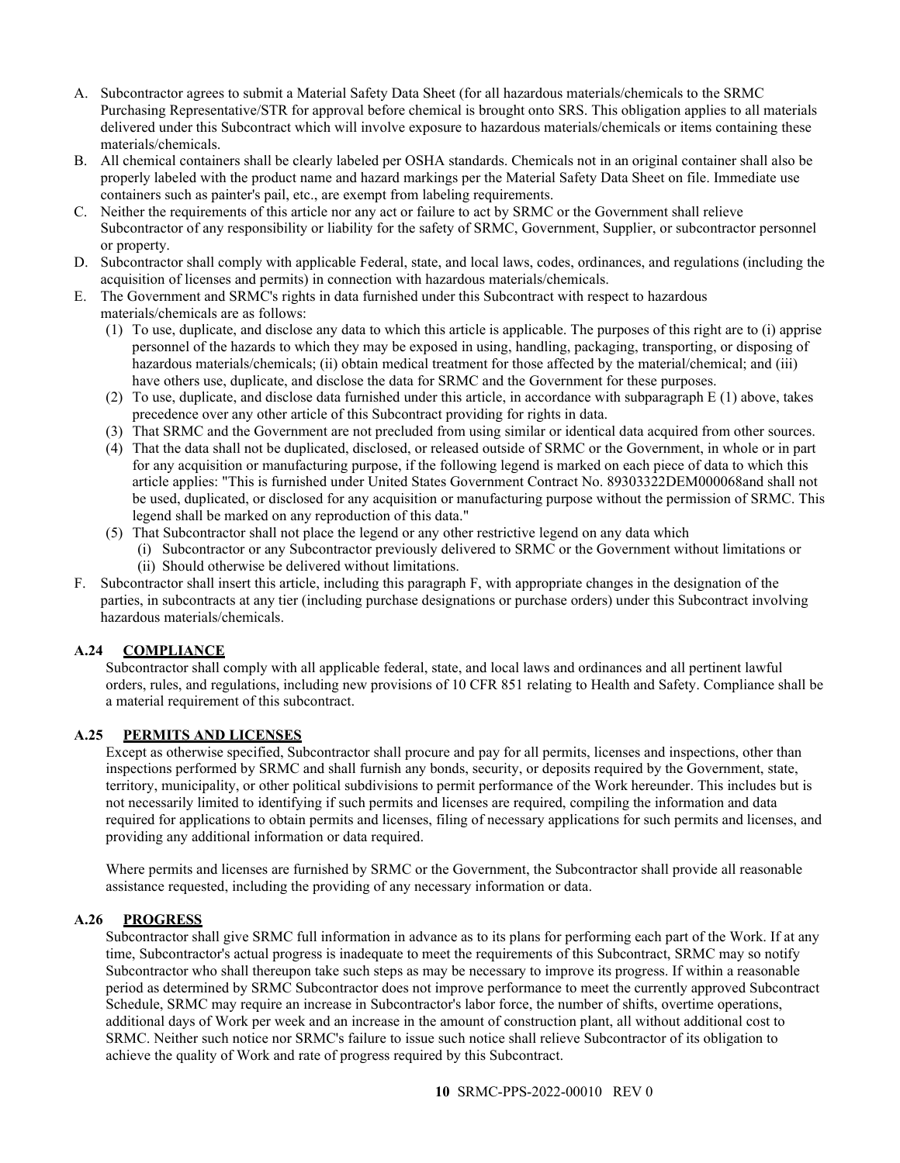- A. Subcontractor agrees to submit a Material Safety Data Sheet (for all hazardous materials/chemicals to the SRMC Purchasing Representative/STR for approval before chemical is brought onto SRS. This obligation applies to all materials delivered under this Subcontract which will involve exposure to hazardous materials/chemicals or items containing these materials/chemicals.
- B. All chemical containers shall be clearly labeled per OSHA standards. Chemicals not in an original container shall also be properly labeled with the product name and hazard markings per the Material Safety Data Sheet on file. Immediate use containers such as painter's pail, etc., are exempt from labeling requirements.
- C. Neither the requirements of this article nor any act or failure to act by SRMC or the Government shall relieve Subcontractor of any responsibility or liability for the safety of SRMC, Government, Supplier, or subcontractor personnel or property.
- D. Subcontractor shall comply with applicable Federal, state, and local laws, codes, ordinances, and regulations (including the acquisition of licenses and permits) in connection with hazardous materials/chemicals.
- E. The Government and SRMC's rights in data furnished under this Subcontract with respect to hazardous materials/chemicals are as follows:
	- (1) To use, duplicate, and disclose any data to which this article is applicable. The purposes of this right are to (i) apprise personnel of the hazards to which they may be exposed in using, handling, packaging, transporting, or disposing of hazardous materials/chemicals; (ii) obtain medical treatment for those affected by the material/chemical; and (iii) have others use, duplicate, and disclose the data for SRMC and the Government for these purposes.
	- (2) To use, duplicate, and disclose data furnished under this article, in accordance with subparagraph E (1) above, takes precedence over any other article of this Subcontract providing for rights in data.
	- (3) That SRMC and the Government are not precluded from using similar or identical data acquired from other sources.
	- (4) That the data shall not be duplicated, disclosed, or released outside of SRMC or the Government, in whole or in part for any acquisition or manufacturing purpose, if the following legend is marked on each piece of data to which this article applies: "This is furnished under United States Government Contract No. 89303322DEM000068and shall not be used, duplicated, or disclosed for any acquisition or manufacturing purpose without the permission of SRMC. This legend shall be marked on any reproduction of this data."
	- (5) That Subcontractor shall not place the legend or any other restrictive legend on any data which
		- (i) Subcontractor or any Subcontractor previously delivered to SRMC or the Government without limitations or (ii) Should otherwise be delivered without limitations.
- F. Subcontractor shall insert this article, including this paragraph F, with appropriate changes in the designation of the parties, in subcontracts at any tier (including purchase designations or purchase orders) under this Subcontract involving hazardous materials/chemicals.

### <span id="page-9-0"></span>**A.24 COMPLIANCE**

Subcontractor shall comply with all applicable federal, state, and local laws and ordinances and all pertinent lawful orders, rules, and regulations, including new provisions of 10 CFR 851 relating to Health and Safety. Compliance shall be a material requirement of this subcontract.

### <span id="page-9-1"></span>**A.25 PERMITS AND LICENSES**

Except as otherwise specified, Subcontractor shall procure and pay for all permits, licenses and inspections, other than inspections performed by SRMC and shall furnish any bonds, security, or deposits required by the Government, state, territory, municipality, or other political subdivisions to permit performance of the Work hereunder. This includes but is not necessarily limited to identifying if such permits and licenses are required, compiling the information and data required for applications to obtain permits and licenses, filing of necessary applications for such permits and licenses, and providing any additional information or data required.

Where permits and licenses are furnished by SRMC or the Government, the Subcontractor shall provide all reasonable assistance requested, including the providing of any necessary information or data.

### <span id="page-9-2"></span>**A.26 PROGRESS**

Subcontractor shall give SRMC full information in advance as to its plans for performing each part of the Work. If at any time, Subcontractor's actual progress is inadequate to meet the requirements of this Subcontract, SRMC may so notify Subcontractor who shall thereupon take such steps as may be necessary to improve its progress. If within a reasonable period as determined by SRMC Subcontractor does not improve performance to meet the currently approved Subcontract Schedule, SRMC may require an increase in Subcontractor's labor force, the number of shifts, overtime operations, additional days of Work per week and an increase in the amount of construction plant, all without additional cost to SRMC. Neither such notice nor SRMC's failure to issue such notice shall relieve Subcontractor of its obligation to achieve the quality of Work and rate of progress required by this Subcontract.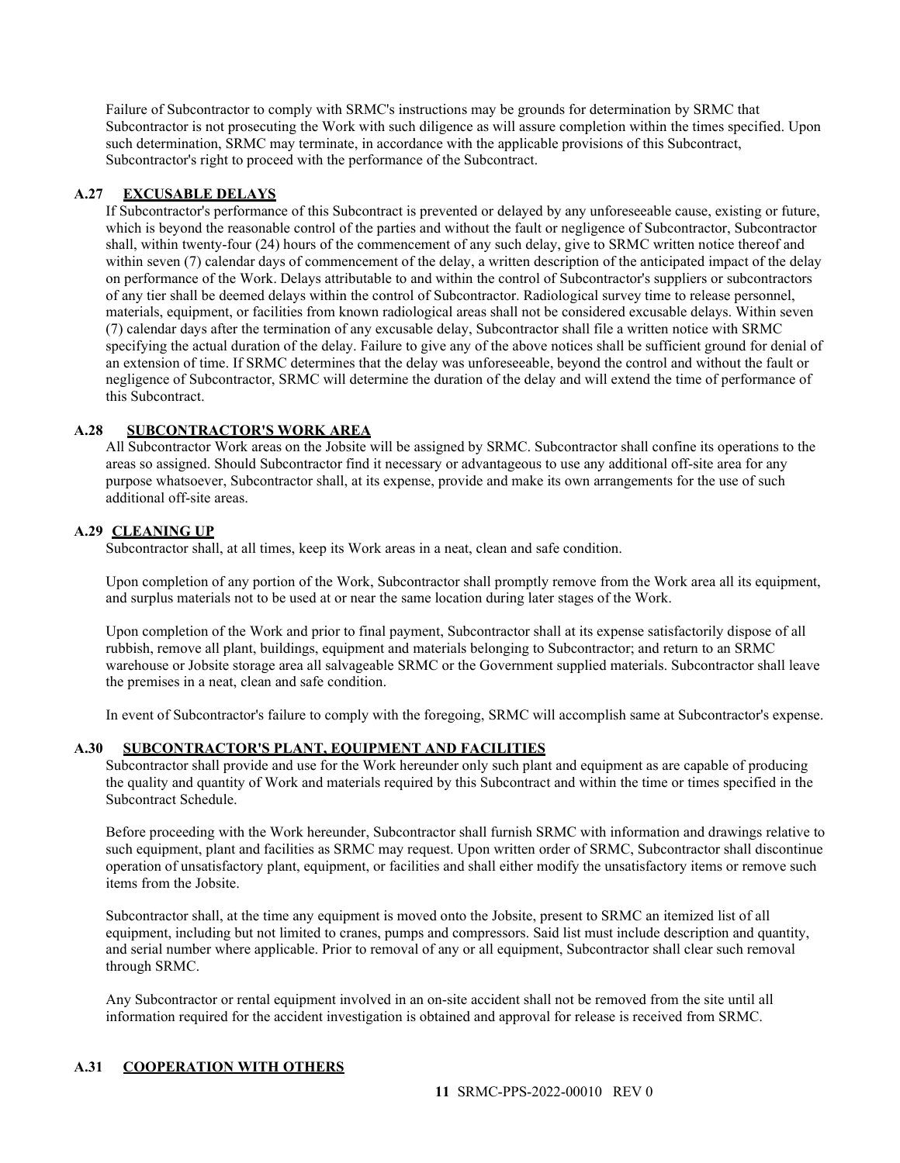Failure of Subcontractor to comply with SRMC's instructions may be grounds for determination by SRMC that Subcontractor is not prosecuting the Work with such diligence as will assure completion within the times specified. Upon such determination, SRMC may terminate, in accordance with the applicable provisions of this Subcontract, Subcontractor's right to proceed with the performance of the Subcontract.

### <span id="page-10-0"></span>**A.27 EXCUSABLE DELAYS**

If Subcontractor's performance of this Subcontract is prevented or delayed by any unforeseeable cause, existing or future, which is beyond the reasonable control of the parties and without the fault or negligence of Subcontractor, Subcontractor shall, within twenty-four (24) hours of the commencement of any such delay, give to SRMC written notice thereof and within seven (7) calendar days of commencement of the delay, a written description of the anticipated impact of the delay on performance of the Work. Delays attributable to and within the control of Subcontractor's suppliers or subcontractors of any tier shall be deemed delays within the control of Subcontractor. Radiological survey time to release personnel, materials, equipment, or facilities from known radiological areas shall not be considered excusable delays. Within seven (7) calendar days after the termination of any excusable delay, Subcontractor shall file a written notice with SRMC specifying the actual duration of the delay. Failure to give any of the above notices shall be sufficient ground for denial of an extension of time. If SRMC determines that the delay was unforeseeable, beyond the control and without the fault or negligence of Subcontractor, SRMC will determine the duration of the delay and will extend the time of performance of this Subcontract.

### <span id="page-10-1"></span>**A.28 SUBCONTRACTOR'S WORK AREA**

All Subcontractor Work areas on the Jobsite will be assigned by SRMC. Subcontractor shall confine its operations to the areas so assigned. Should Subcontractor find it necessary or advantageous to use any additional off-site area for any purpose whatsoever, Subcontractor shall, at its expense, provide and make its own arrangements for the use of such additional off-site areas.

### <span id="page-10-2"></span>**A.29 CLEANING UP**

Subcontractor shall, at all times, keep its Work areas in a neat, clean and safe condition.

Upon completion of any portion of the Work, Subcontractor shall promptly remove from the Work area all its equipment, and surplus materials not to be used at or near the same location during later stages of the Work.

Upon completion of the Work and prior to final payment, Subcontractor shall at its expense satisfactorily dispose of all rubbish, remove all plant, buildings, equipment and materials belonging to Subcontractor; and return to an SRMC warehouse or Jobsite storage area all salvageable SRMC or the Government supplied materials. Subcontractor shall leave the premises in a neat, clean and safe condition.

In event of Subcontractor's failure to comply with the foregoing, SRMC will accomplish same at Subcontractor's expense.

### <span id="page-10-3"></span>**A.30 SUBCONTRACTOR'S PLANT, EQUIPMENT AND FACILITIES**

Subcontractor shall provide and use for the Work hereunder only such plant and equipment as are capable of producing the quality and quantity of Work and materials required by this Subcontract and within the time or times specified in the Subcontract Schedule.

Before proceeding with the Work hereunder, Subcontractor shall furnish SRMC with information and drawings relative to such equipment, plant and facilities as SRMC may request. Upon written order of SRMC, Subcontractor shall discontinue operation of unsatisfactory plant, equipment, or facilities and shall either modify the unsatisfactory items or remove such items from the Jobsite.

Subcontractor shall, at the time any equipment is moved onto the Jobsite, present to SRMC an itemized list of all equipment, including but not limited to cranes, pumps and compressors. Said list must include description and quantity, and serial number where applicable. Prior to removal of any or all equipment, Subcontractor shall clear such removal through SRMC.

Any Subcontractor or rental equipment involved in an on-site accident shall not be removed from the site until all information required for the accident investigation is obtained and approval for release is received from SRMC.

## <span id="page-10-4"></span>**A.31 COOPERATION WITH OTHERS**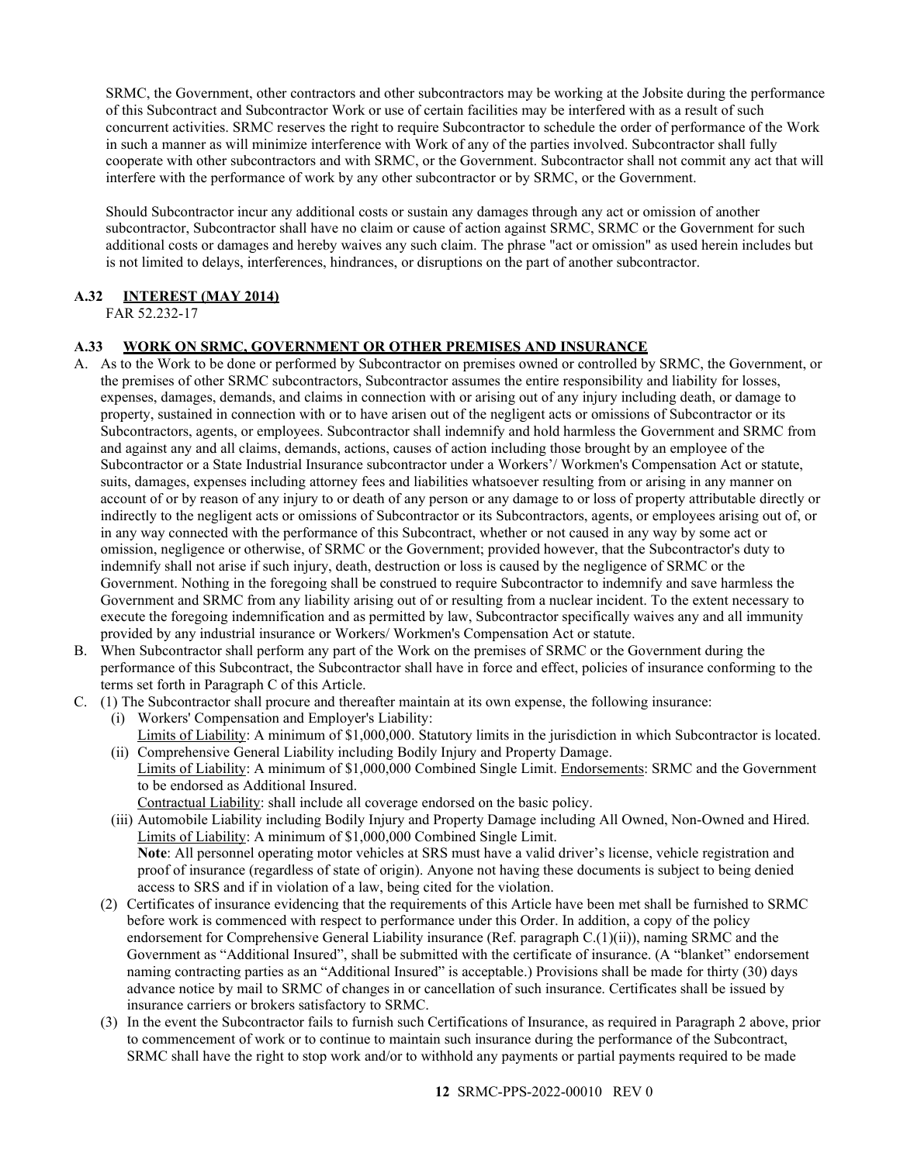SRMC, the Government, other contractors and other subcontractors may be working at the Jobsite during the performance of this Subcontract and Subcontractor Work or use of certain facilities may be interfered with as a result of such concurrent activities. SRMC reserves the right to require Subcontractor to schedule the order of performance of the Work in such a manner as will minimize interference with Work of any of the parties involved. Subcontractor shall fully cooperate with other subcontractors and with SRMC, or the Government. Subcontractor shall not commit any act that will interfere with the performance of work by any other subcontractor or by SRMC, or the Government.

Should Subcontractor incur any additional costs or sustain any damages through any act or omission of another subcontractor, Subcontractor shall have no claim or cause of action against SRMC, SRMC or the Government for such additional costs or damages and hereby waives any such claim. The phrase "act or omission" as used herein includes but is not limited to delays, interferences, hindrances, or disruptions on the part of another subcontractor.

## <span id="page-11-0"></span>**A.32 INTEREST (MAY 2014)**

FAR 52.232-17

## <span id="page-11-1"></span>**A.33 WORK ON SRMC, GOVERNMENT OR OTHER PREMISES AND INSURANCE**

- A. As to the Work to be done or performed by Subcontractor on premises owned or controlled by SRMC, the Government, or the premises of other SRMC subcontractors, Subcontractor assumes the entire responsibility and liability for losses, expenses, damages, demands, and claims in connection with or arising out of any injury including death, or damage to property, sustained in connection with or to have arisen out of the negligent acts or omissions of Subcontractor or its Subcontractors, agents, or employees. Subcontractor shall indemnify and hold harmless the Government and SRMC from and against any and all claims, demands, actions, causes of action including those brought by an employee of the Subcontractor or a State Industrial Insurance subcontractor under a Workers'/ Workmen's Compensation Act or statute, suits, damages, expenses including attorney fees and liabilities whatsoever resulting from or arising in any manner on account of or by reason of any injury to or death of any person or any damage to or loss of property attributable directly or indirectly to the negligent acts or omissions of Subcontractor or its Subcontractors, agents, or employees arising out of, or in any way connected with the performance of this Subcontract, whether or not caused in any way by some act or omission, negligence or otherwise, of SRMC or the Government; provided however, that the Subcontractor's duty to indemnify shall not arise if such injury, death, destruction or loss is caused by the negligence of SRMC or the Government. Nothing in the foregoing shall be construed to require Subcontractor to indemnify and save harmless the Government and SRMC from any liability arising out of or resulting from a nuclear incident. To the extent necessary to execute the foregoing indemnification and as permitted by law, Subcontractor specifically waives any and all immunity provided by any industrial insurance or Workers/ Workmen's Compensation Act or statute.
- B. When Subcontractor shall perform any part of the Work on the premises of SRMC or the Government during the performance of this Subcontract, the Subcontractor shall have in force and effect, policies of insurance conforming to the terms set forth in Paragraph C of this Article.
- C. (1) The Subcontractor shall procure and thereafter maintain at its own expense, the following insurance:
	- (i) Workers' Compensation and Employer's Liability: Limits of Liability: A minimum of \$1,000,000. Statutory limits in the jurisdiction in which Subcontractor is located.
	- (ii) Comprehensive General Liability including Bodily Injury and Property Damage. Limits of Liability: A minimum of \$1,000,000 Combined Single Limit. Endorsements: SRMC and the Government to be endorsed as Additional Insured.
		- Contractual Liability: shall include all coverage endorsed on the basic policy.
	- (iii) Automobile Liability including Bodily Injury and Property Damage including All Owned, Non-Owned and Hired. Limits of Liability: A minimum of \$1,000,000 Combined Single Limit. **Note**: All personnel operating motor vehicles at SRS must have a valid driver's license, vehicle registration and proof of insurance (regardless of state of origin). Anyone not having these documents is subject to being denied access to SRS and if in violation of a law, being cited for the violation.
	- (2) Certificates of insurance evidencing that the requirements of this Article have been met shall be furnished to SRMC before work is commenced with respect to performance under this Order. In addition, a copy of the policy endorsement for Comprehensive General Liability insurance (Ref. paragraph C.(1)(ii)), naming SRMC and the Government as "Additional Insured", shall be submitted with the certificate of insurance. (A "blanket" endorsement naming contracting parties as an "Additional Insured" is acceptable.) Provisions shall be made for thirty (30) days advance notice by mail to SRMC of changes in or cancellation of such insurance. Certificates shall be issued by insurance carriers or brokers satisfactory to SRMC.
	- (3) In the event the Subcontractor fails to furnish such Certifications of Insurance, as required in Paragraph 2 above, prior to commencement of work or to continue to maintain such insurance during the performance of the Subcontract, SRMC shall have the right to stop work and/or to withhold any payments or partial payments required to be made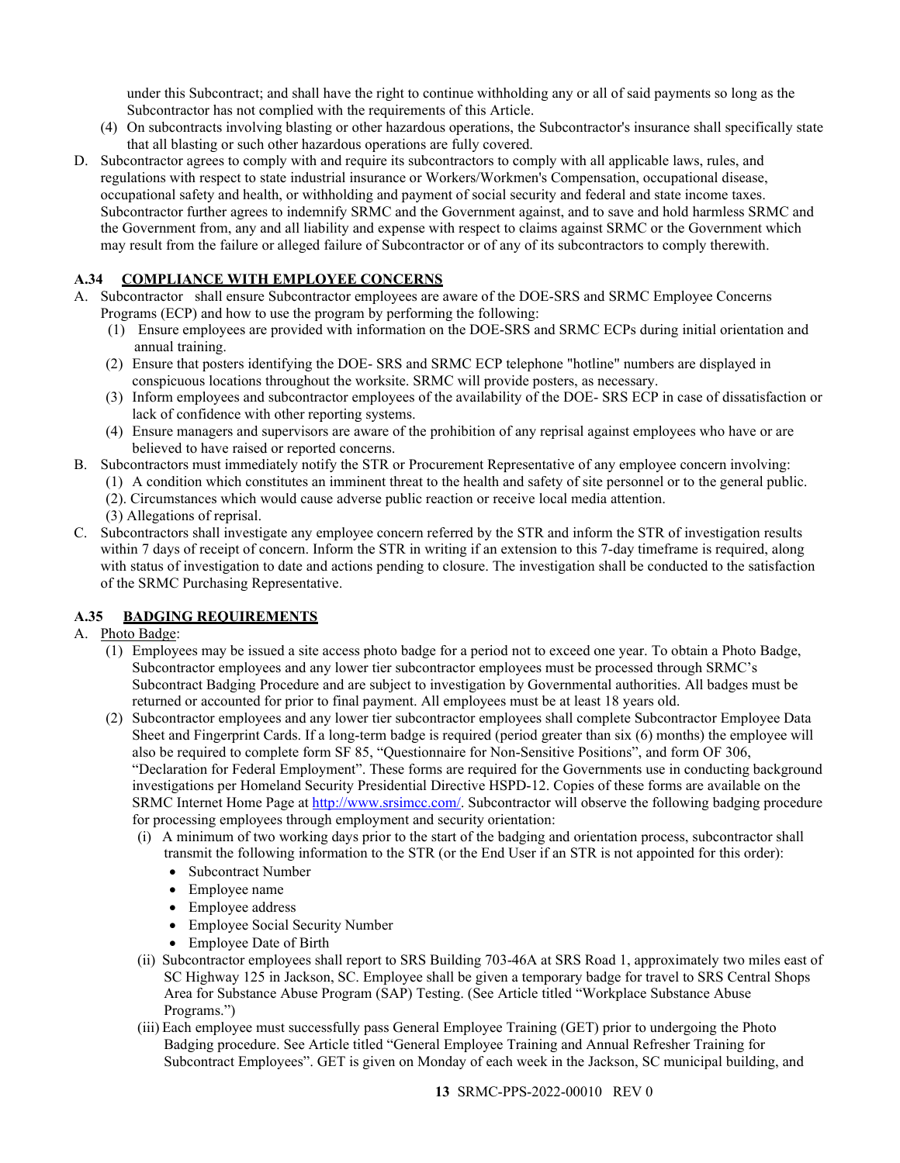under this Subcontract; and shall have the right to continue withholding any or all of said payments so long as the Subcontractor has not complied with the requirements of this Article.

- (4) On subcontracts involving blasting or other hazardous operations, the Subcontractor's insurance shall specifically state that all blasting or such other hazardous operations are fully covered.
- D. Subcontractor agrees to comply with and require its subcontractors to comply with all applicable laws, rules, and regulations with respect to state industrial insurance or Workers/Workmen's Compensation, occupational disease, occupational safety and health, or withholding and payment of social security and federal and state income taxes. Subcontractor further agrees to indemnify SRMC and the Government against, and to save and hold harmless SRMC and the Government from, any and all liability and expense with respect to claims against SRMC or the Government which may result from the failure or alleged failure of Subcontractor or of any of its subcontractors to comply therewith.

## <span id="page-12-0"></span>**A.34 COMPLIANCE WITH EMPLOYEE CONCERNS**

- A. Subcontractor shall ensure Subcontractor employees are aware of the DOE-SRS and SRMC Employee Concerns Programs (ECP) and how to use the program by performing the following:
	- (1) Ensure employees are provided with information on the DOE-SRS and SRMC ECPs during initial orientation and annual training.
	- (2) Ensure that posters identifying the DOE- SRS and SRMC ECP telephone "hotline" numbers are displayed in conspicuous locations throughout the worksite. SRMC will provide posters, as necessary.
	- (3) Inform employees and subcontractor employees of the availability of the DOE- SRS ECP in case of dissatisfaction or lack of confidence with other reporting systems.
	- (4) Ensure managers and supervisors are aware of the prohibition of any reprisal against employees who have or are believed to have raised or reported concerns.
- B. Subcontractors must immediately notify the STR or Procurement Representative of any employee concern involving:
	- (1) A condition which constitutes an imminent threat to the health and safety of site personnel or to the general public.
	- (2). Circumstances which would cause adverse public reaction or receive local media attention.
	- (3) Allegations of reprisal.
- C. Subcontractors shall investigate any employee concern referred by the STR and inform the STR of investigation results within 7 days of receipt of concern. Inform the STR in writing if an extension to this 7-day timeframe is required, along with status of investigation to date and actions pending to closure. The investigation shall be conducted to the satisfaction of the SRMC Purchasing Representative.

## <span id="page-12-1"></span>**A.35 BADGING REQUIREMENTS**

- A. Photo Badge:
	- (1) Employees may be issued a site access photo badge for a period not to exceed one year. To obtain a Photo Badge, Subcontractor employees and any lower tier subcontractor employees must be processed through SRMC's Subcontract Badging Procedure and are subject to investigation by Governmental authorities. All badges must be returned or accounted for prior to final payment. All employees must be at least 18 years old.
	- (2) Subcontractor employees and any lower tier subcontractor employees shall complete Subcontractor Employee Data Sheet and Fingerprint Cards. If a long-term badge is required (period greater than six (6) months) the employee will also be required to complete form SF 85, "Questionnaire for Non-Sensitive Positions", and form OF 306, "Declaration for Federal Employment". These forms are required for the Governments use in conducting background investigations per Homeland Security Presidential Directive HSPD-12. Copies of these forms are available on the SRMC Internet Home Page a[t http://www.srsimcc.com/.](http://www.srsimcc.com/) Subcontractor will observe the following badging procedure for processing employees through employment and security orientation:
		- (i) A minimum of two working days prior to the start of the badging and orientation process, subcontractor shall transmit the following information to the STR (or the End User if an STR is not appointed for this order):
			- Subcontract Number
			- Employee name
			- Employee address
			- Employee Social Security Number
			- Employee Date of Birth
		- (ii) Subcontractor employees shall report to SRS Building 703-46A at SRS Road 1, approximately two miles east of SC Highway 125 in Jackson, SC. Employee shall be given a temporary badge for travel to SRS Central Shops Area for Substance Abuse Program (SAP) Testing. (See Article titled "Workplace Substance Abuse Programs.")
		- (iii) Each employee must successfully pass General Employee Training (GET) prior to undergoing the Photo Badging procedure. See Article titled "General Employee Training and Annual Refresher Training for Subcontract Employees". GET is given on Monday of each week in the Jackson, SC municipal building, and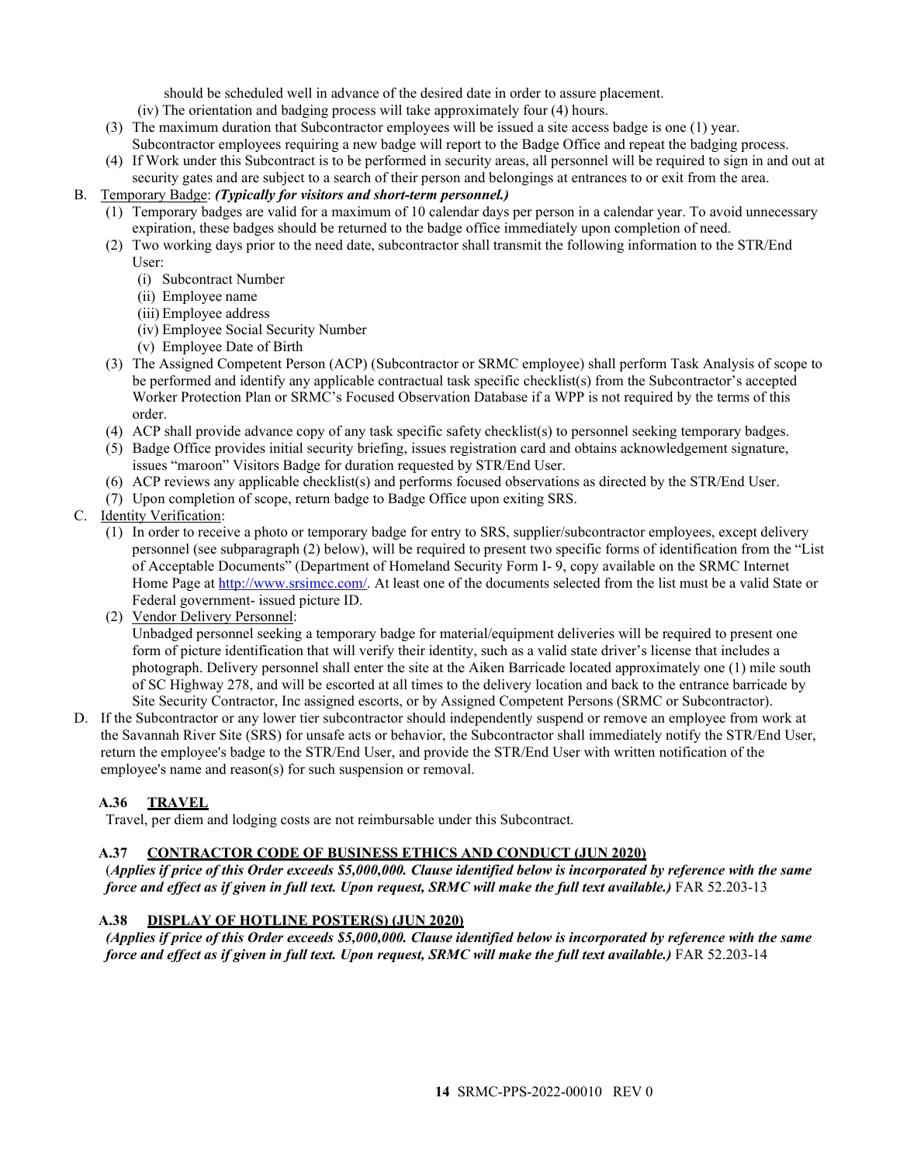should be scheduled well in advance of the desired date in order to assure placement.

- (iv) The orientation and badging process will take approximately four (4) hours.
- (3) The maximum duration that Subcontractor employees will be issued a site access badge is one (1) year.
- Subcontractor employees requiring a new badge will report to the Badge Office and repeat the badging process. (4) If Work under this Subcontract is to be performed in security areas, all personnel will be required to sign in and out at
- security gates and are subject to a search of their person and belongings at entrances to or exit from the area.

## B. Temporary Badge: *(Typically for visitors and short-term personnel.)*

- (1) Temporary badges are valid for a maximum of 10 calendar days per person in a calendar year. To avoid unnecessary expiration, these badges should be returned to the badge office immediately upon completion of need.
- (2) Two working days prior to the need date, subcontractor shall transmit the following information to the STR/End User:
	- (i) Subcontract Number
	- (ii) Employee name
	- (iii) Employee address
	- (iv) Employee Social Security Number
	- (v) Employee Date of Birth
- (3) The Assigned Competent Person (ACP) (Subcontractor or SRMC employee) shall perform Task Analysis of scope to be performed and identify any applicable contractual task specific checklist(s) from the Subcontractor's accepted Worker Protection Plan or SRMC's Focused Observation Database if a WPP is not required by the terms of this order.
- (4) ACP shall provide advance copy of any task specific safety checklist(s) to personnel seeking temporary badges.
- (5) Badge Office provides initial security briefing, issues registration card and obtains acknowledgement signature, issues "maroon" Visitors Badge for duration requested by STR/End User.
- (6) ACP reviews any applicable checklist(s) and performs focused observations as directed by the STR/End User.
- (7) Upon completion of scope, return badge to Badge Office upon exiting SRS.

## C. Identity Verification:

- (1) In order to receive a photo or temporary badge for entry to SRS, supplier/subcontractor employees, except delivery personnel (see subparagraph (2) below), will be required to present two specific forms of identification from the "List of Acceptable Documents" (Department of Homeland Security Form I- 9, copy available on the SRMC Internet Home Page a[t http://www.srsimcc.com/.](http://www.srsimcc.com/) At least one of the documents selected from the list must be a valid State or Federal government- issued picture ID.
- (2) Vendor Delivery Personnel:

Unbadged personnel seeking a temporary badge for material/equipment deliveries will be required to present one form of picture identification that will verify their identity, such as a valid state driver's license that includes a photograph. Delivery personnel shall enter the site at the Aiken Barricade located approximately one (1) mile south of SC Highway 278, and will be escorted at all times to the delivery location and back to the entrance barricade by Site Security Contractor, Inc assigned escorts, or by Assigned Competent Persons (SRMC or Subcontractor).

D. If the Subcontractor or any lower tier subcontractor should independently suspend or remove an employee from work at the Savannah River Site (SRS) for unsafe acts or behavior, the Subcontractor shall immediately notify the STR/End User, return the employee's badge to the STR/End User, and provide the STR/End User with written notification of the employee's name and reason(s) for such suspension or removal.

## <span id="page-13-0"></span>**A.36 TRAVEL**

Travel, per diem and lodging costs are not reimbursable under this Subcontract.

### <span id="page-13-1"></span>**A.37 CONTRACTOR CODE OF BUSINESS ETHICS AND CONDUCT (JUN 2020)**

(*Applies if price of this Order exceeds \$5,000,000. Clause identified below is incorporated by reference with the same force and effect as if given in full text. Upon request, SRMC will make the full text available.)* FAR 52.203-13

### <span id="page-13-2"></span>**A.38 DISPLAY OF HOTLINE POSTER(S) (JUN 2020)**

*(Applies if price of this Order exceeds \$5,000,000. Clause identified below is incorporated by reference with the same force and effect as if given in full text. Upon request, SRMC will make the full text available.)* FAR 52.203-14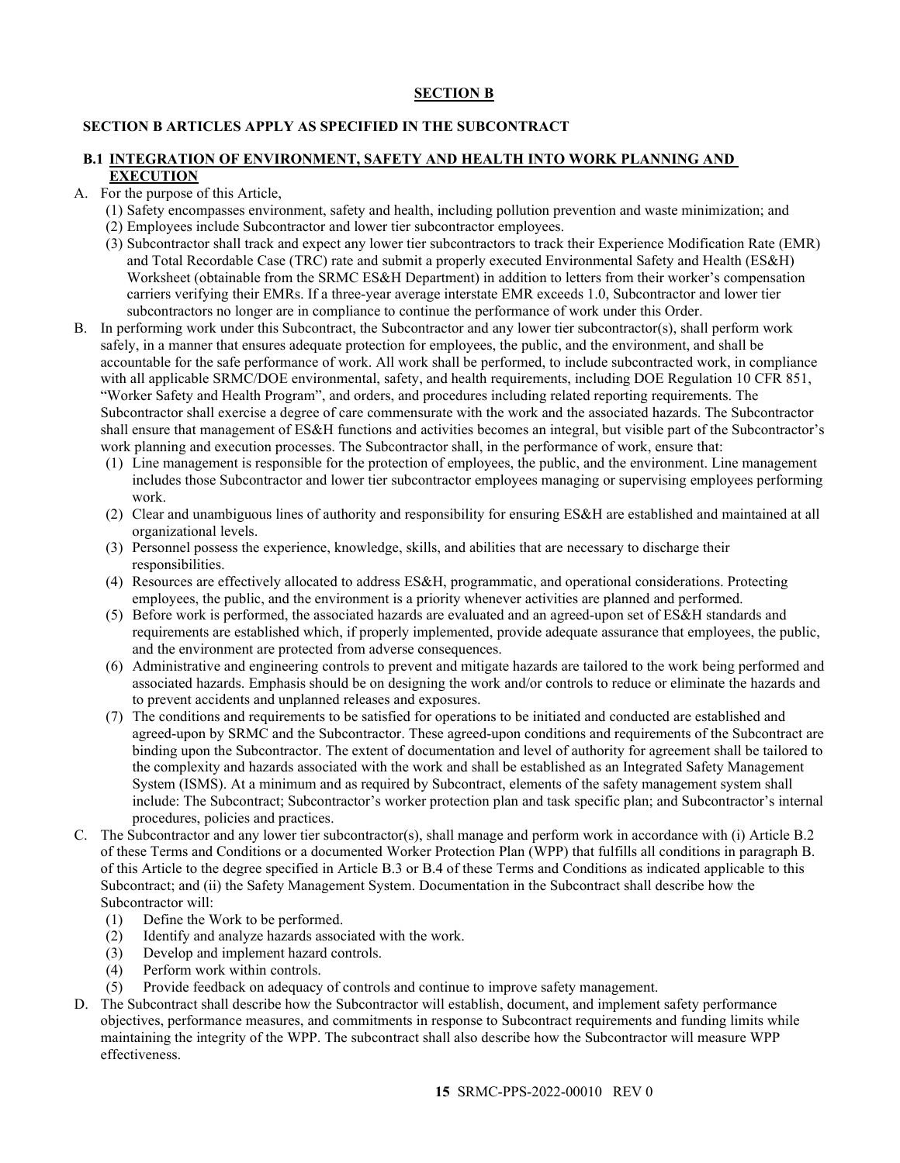## **SECTION B**

## <span id="page-14-0"></span>**SECTION B ARTICLES APPLY AS SPECIFIED IN THE SUBCONTRACT**

### <span id="page-14-1"></span>**B.1 INTEGRATION OF ENVIRONMENT, SAFETY AND HEALTH INTO WORK PLANNING AND EXECUTION**

- A. For the purpose of this Article,
	- (1) Safety encompasses environment, safety and health, including pollution prevention and waste minimization; and
	- (2) Employees include Subcontractor and lower tier subcontractor employees.
	- (3) Subcontractor shall track and expect any lower tier subcontractors to track their Experience Modification Rate (EMR) and Total Recordable Case (TRC) rate and submit a properly executed Environmental Safety and Health (ES&H) Worksheet (obtainable from the SRMC ES&H Department) in addition to letters from their worker's compensation carriers verifying their EMRs. If a three-year average interstate EMR exceeds 1.0, Subcontractor and lower tier subcontractors no longer are in compliance to continue the performance of work under this Order.
- B. In performing work under this Subcontract, the Subcontractor and any lower tier subcontractor(s), shall perform work safely, in a manner that ensures adequate protection for employees, the public, and the environment, and shall be accountable for the safe performance of work. All work shall be performed, to include subcontracted work, in compliance with all applicable SRMC/DOE environmental, safety, and health requirements, including DOE Regulation 10 CFR 851, "Worker Safety and Health Program", and orders, and procedures including related reporting requirements. The Subcontractor shall exercise a degree of care commensurate with the work and the associated hazards. The Subcontractor shall ensure that management of ES&H functions and activities becomes an integral, but visible part of the Subcontractor's work planning and execution processes. The Subcontractor shall, in the performance of work, ensure that:
	- (1) Line management is responsible for the protection of employees, the public, and the environment. Line management includes those Subcontractor and lower tier subcontractor employees managing or supervising employees performing work.
	- (2) Clear and unambiguous lines of authority and responsibility for ensuring ES&H are established and maintained at all organizational levels.
	- (3) Personnel possess the experience, knowledge, skills, and abilities that are necessary to discharge their responsibilities.
	- (4) Resources are effectively allocated to address ES&H, programmatic, and operational considerations. Protecting employees, the public, and the environment is a priority whenever activities are planned and performed.
	- (5) Before work is performed, the associated hazards are evaluated and an agreed-upon set of ES&H standards and requirements are established which, if properly implemented, provide adequate assurance that employees, the public, and the environment are protected from adverse consequences.
	- (6) Administrative and engineering controls to prevent and mitigate hazards are tailored to the work being performed and associated hazards. Emphasis should be on designing the work and/or controls to reduce or eliminate the hazards and to prevent accidents and unplanned releases and exposures.
	- (7) The conditions and requirements to be satisfied for operations to be initiated and conducted are established and agreed-upon by SRMC and the Subcontractor. These agreed-upon conditions and requirements of the Subcontract are binding upon the Subcontractor. The extent of documentation and level of authority for agreement shall be tailored to the complexity and hazards associated with the work and shall be established as an Integrated Safety Management System (ISMS). At a minimum and as required by Subcontract, elements of the safety management system shall include: The Subcontract; Subcontractor's worker protection plan and task specific plan; and Subcontractor's internal procedures, policies and practices.
- C. The Subcontractor and any lower tier subcontractor(s), shall manage and perform work in accordance with (i) Article B.2 of these Terms and Conditions or a documented Worker Protection Plan (WPP) that fulfills all conditions in paragraph B. of this Article to the degree specified in Article B.3 or B.4 of these Terms and Conditions as indicated applicable to this Subcontract; and (ii) the Safety Management System. Documentation in the Subcontract shall describe how the Subcontractor will:
	- (1) Define the Work to be performed.
	- (2) Identify and analyze hazards associated with the work.
	- (3) Develop and implement hazard controls.
	- (4) Perform work within controls.
	- (5) Provide feedback on adequacy of controls and continue to improve safety management.
- D. The Subcontract shall describe how the Subcontractor will establish, document, and implement safety performance objectives, performance measures, and commitments in response to Subcontract requirements and funding limits while maintaining the integrity of the WPP. The subcontract shall also describe how the Subcontractor will measure WPP effectiveness.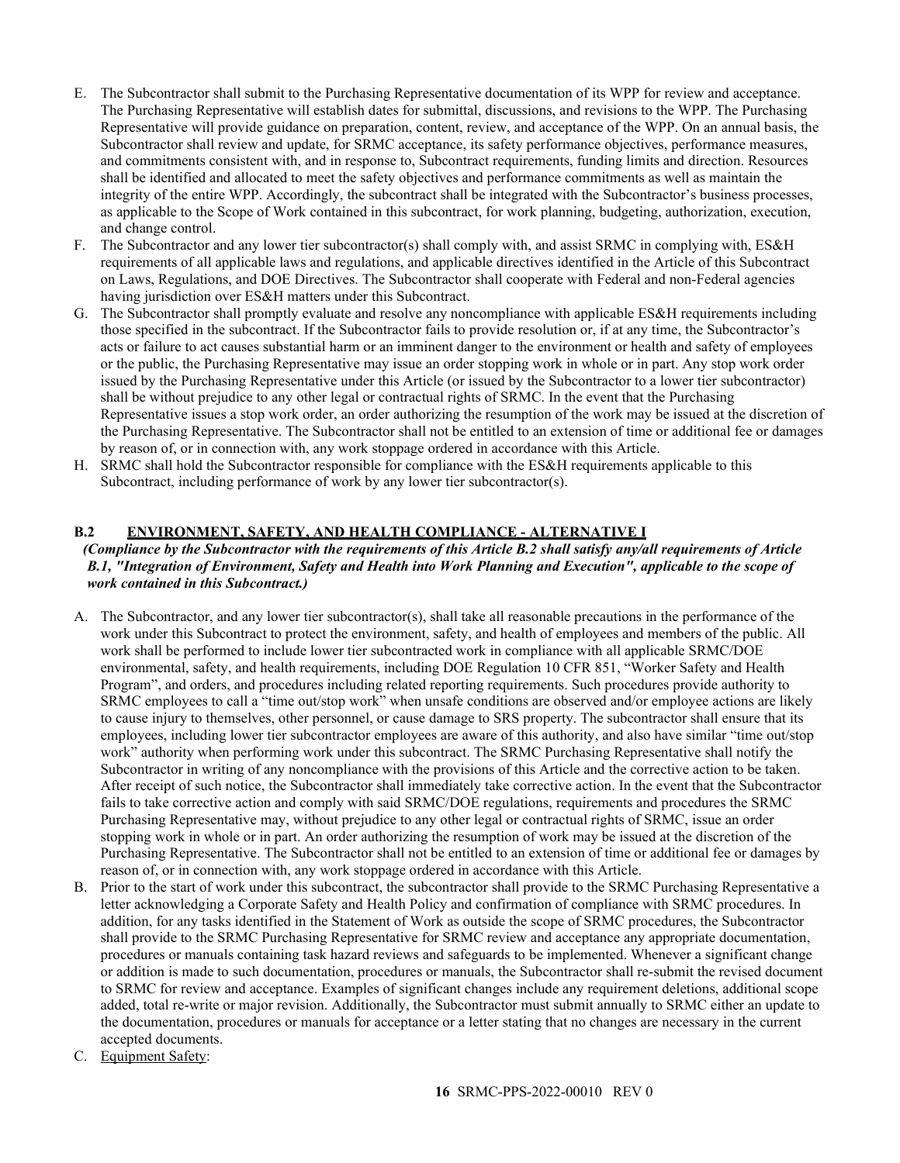- E. The Subcontractor shall submit to the Purchasing Representative documentation of its WPP for review and acceptance. The Purchasing Representative will establish dates for submittal, discussions, and revisions to the WPP. The Purchasing Representative will provide guidance on preparation, content, review, and acceptance of the WPP. On an annual basis, the Subcontractor shall review and update, for SRMC acceptance, its safety performance objectives, performance measures, and commitments consistent with, and in response to, Subcontract requirements, funding limits and direction. Resources shall be identified and allocated to meet the safety objectives and performance commitments as well as maintain the integrity of the entire WPP. Accordingly, the subcontract shall be integrated with the Subcontractor's business processes, as applicable to the Scope of Work contained in this subcontract, for work planning, budgeting, authorization, execution, and change control.
- F. The Subcontractor and any lower tier subcontractor(s) shall comply with, and assist SRMC in complying with, ES&H requirements of all applicable laws and regulations, and applicable directives identified in the Article of this Subcontract on Laws, Regulations, and DOE Directives. The Subcontractor shall cooperate with Federal and non-Federal agencies having jurisdiction over ES&H matters under this Subcontract.
- G. The Subcontractor shall promptly evaluate and resolve any noncompliance with applicable ES&H requirements including those specified in the subcontract. If the Subcontractor fails to provide resolution or, if at any time, the Subcontractor's acts or failure to act causes substantial harm or an imminent danger to the environment or health and safety of employees or the public, the Purchasing Representative may issue an order stopping work in whole or in part. Any stop work order issued by the Purchasing Representative under this Article (or issued by the Subcontractor to a lower tier subcontractor) shall be without prejudice to any other legal or contractual rights of SRMC. In the event that the Purchasing Representative issues a stop work order, an order authorizing the resumption of the work may be issued at the discretion of the Purchasing Representative. The Subcontractor shall not be entitled to an extension of time or additional fee or damages by reason of, or in connection with, any work stoppage ordered in accordance with this Article.
- H. SRMC shall hold the Subcontractor responsible for compliance with the ES&H requirements applicable to this Subcontract, including performance of work by any lower tier subcontractor(s).

## <span id="page-15-0"></span>**B.2 ENVIRONMENT, SAFETY, AND HEALTH COMPLIANCE - ALTERNATIVE I**

## *(Compliance by the Subcontractor with the requirements of this Article B.2 shall satisfy any/all requirements of Article B.1, "Integration of Environment, Safety and Health into Work Planning and Execution", applicable to the scope of work contained in this Subcontract.)*

- A. The Subcontractor, and any lower tier subcontractor(s), shall take all reasonable precautions in the performance of the work under this Subcontract to protect the environment, safety, and health of employees and members of the public. All work shall be performed to include lower tier subcontracted work in compliance with all applicable SRMC/DOE environmental, safety, and health requirements, including DOE Regulation 10 CFR 851, "Worker Safety and Health Program", and orders, and procedures including related reporting requirements. Such procedures provide authority to SRMC employees to call a "time out/stop work" when unsafe conditions are observed and/or employee actions are likely to cause injury to themselves, other personnel, or cause damage to SRS property. The subcontractor shall ensure that its employees, including lower tier subcontractor employees are aware of this authority, and also have similar "time out/stop work" authority when performing work under this subcontract. The SRMC Purchasing Representative shall notify the Subcontractor in writing of any noncompliance with the provisions of this Article and the corrective action to be taken. After receipt of such notice, the Subcontractor shall immediately take corrective action. In the event that the Subcontractor fails to take corrective action and comply with said SRMC/DOE regulations, requirements and procedures the SRMC Purchasing Representative may, without prejudice to any other legal or contractual rights of SRMC, issue an order stopping work in whole or in part. An order authorizing the resumption of work may be issued at the discretion of the Purchasing Representative. The Subcontractor shall not be entitled to an extension of time or additional fee or damages by reason of, or in connection with, any work stoppage ordered in accordance with this Article.
- B. Prior to the start of work under this subcontract, the subcontractor shall provide to the SRMC Purchasing Representative a letter acknowledging a Corporate Safety and Health Policy and confirmation of compliance with SRMC procedures. In addition, for any tasks identified in the Statement of Work as outside the scope of SRMC procedures, the Subcontractor shall provide to the SRMC Purchasing Representative for SRMC review and acceptance any appropriate documentation, procedures or manuals containing task hazard reviews and safeguards to be implemented. Whenever a significant change or addition is made to such documentation, procedures or manuals, the Subcontractor shall re-submit the revised document to SRMC for review and acceptance. Examples of significant changes include any requirement deletions, additional scope added, total re-write or major revision. Additionally, the Subcontractor must submit annually to SRMC either an update to the documentation, procedures or manuals for acceptance or a letter stating that no changes are necessary in the current accepted documents.
- C. Equipment Safety: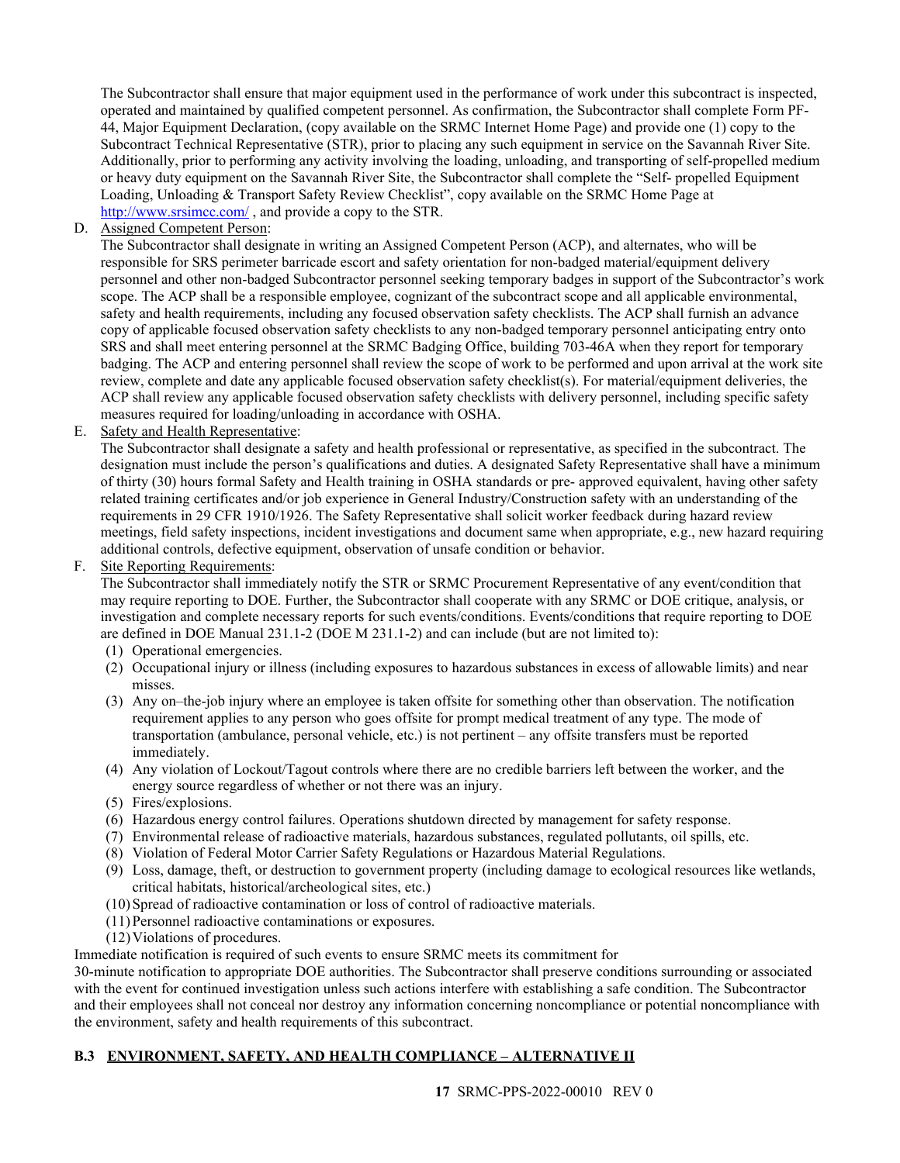The Subcontractor shall ensure that major equipment used in the performance of work under this subcontract is inspected, operated and maintained by qualified competent personnel. As confirmation, the Subcontractor shall complete Form PF-44, Major Equipment Declaration, (copy available on the SRMC Internet Home Page) and provide one (1) copy to the Subcontract Technical Representative (STR), prior to placing any such equipment in service on the Savannah River Site. Additionally, prior to performing any activity involving the loading, unloading, and transporting of self-propelled medium or heavy duty equipment on the Savannah River Site, the Subcontractor shall complete the "Self- propelled Equipment Loading, Unloading & Transport Safety Review Checklist", copy available on the SRMC Home Page at <http://www.srsimcc.com/> , and provide a copy to the STR.

D. Assigned Competent Person:

The Subcontractor shall designate in writing an Assigned Competent Person (ACP), and alternates, who will be responsible for SRS perimeter barricade escort and safety orientation for non-badged material/equipment delivery personnel and other non-badged Subcontractor personnel seeking temporary badges in support of the Subcontractor's work scope. The ACP shall be a responsible employee, cognizant of the subcontract scope and all applicable environmental, safety and health requirements, including any focused observation safety checklists. The ACP shall furnish an advance copy of applicable focused observation safety checklists to any non-badged temporary personnel anticipating entry onto SRS and shall meet entering personnel at the SRMC Badging Office, building 703-46A when they report for temporary badging. The ACP and entering personnel shall review the scope of work to be performed and upon arrival at the work site review, complete and date any applicable focused observation safety checklist(s). For material/equipment deliveries, the ACP shall review any applicable focused observation safety checklists with delivery personnel, including specific safety measures required for loading/unloading in accordance with OSHA.

E. Safety and Health Representative:

The Subcontractor shall designate a safety and health professional or representative, as specified in the subcontract. The designation must include the person's qualifications and duties. A designated Safety Representative shall have a minimum of thirty (30) hours formal Safety and Health training in OSHA standards or pre- approved equivalent, having other safety related training certificates and/or job experience in General Industry/Construction safety with an understanding of the requirements in 29 CFR 1910/1926. The Safety Representative shall solicit worker feedback during hazard review meetings, field safety inspections, incident investigations and document same when appropriate, e.g., new hazard requiring additional controls, defective equipment, observation of unsafe condition or behavior.

### F. Site Reporting Requirements:

The Subcontractor shall immediately notify the STR or SRMC Procurement Representative of any event/condition that may require reporting to DOE. Further, the Subcontractor shall cooperate with any SRMC or DOE critique, analysis, or investigation and complete necessary reports for such events/conditions. Events/conditions that require reporting to DOE are defined in DOE Manual 231.1-2 (DOE M 231.1-2) and can include (but are not limited to):

- (1) Operational emergencies.
- (2) Occupational injury or illness (including exposures to hazardous substances in excess of allowable limits) and near misses.
- (3) Any on–the-job injury where an employee is taken offsite for something other than observation. The notification requirement applies to any person who goes offsite for prompt medical treatment of any type. The mode of transportation (ambulance, personal vehicle, etc.) is not pertinent – any offsite transfers must be reported immediately.
- (4) Any violation of Lockout/Tagout controls where there are no credible barriers left between the worker, and the energy source regardless of whether or not there was an injury.
- (5) Fires/explosions.
- (6) Hazardous energy control failures. Operations shutdown directed by management for safety response.
- (7) Environmental release of radioactive materials, hazardous substances, regulated pollutants, oil spills, etc.
- (8) Violation of Federal Motor Carrier Safety Regulations or Hazardous Material Regulations.
- (9) Loss, damage, theft, or destruction to government property (including damage to ecological resources like wetlands, critical habitats, historical/archeological sites, etc.)
- (10)Spread of radioactive contamination or loss of control of radioactive materials.
- (11)Personnel radioactive contaminations or exposures.
- (12)Violations of procedures.

Immediate notification is required of such events to ensure SRMC meets its commitment for

30-minute notification to appropriate DOE authorities. The Subcontractor shall preserve conditions surrounding or associated with the event for continued investigation unless such actions interfere with establishing a safe condition. The Subcontractor and their employees shall not conceal nor destroy any information concerning noncompliance or potential noncompliance with the environment, safety and health requirements of this subcontract.

### <span id="page-16-0"></span>**B.3 ENVIRONMENT, SAFETY, AND HEALTH COMPLIANCE – ALTERNATIVE II**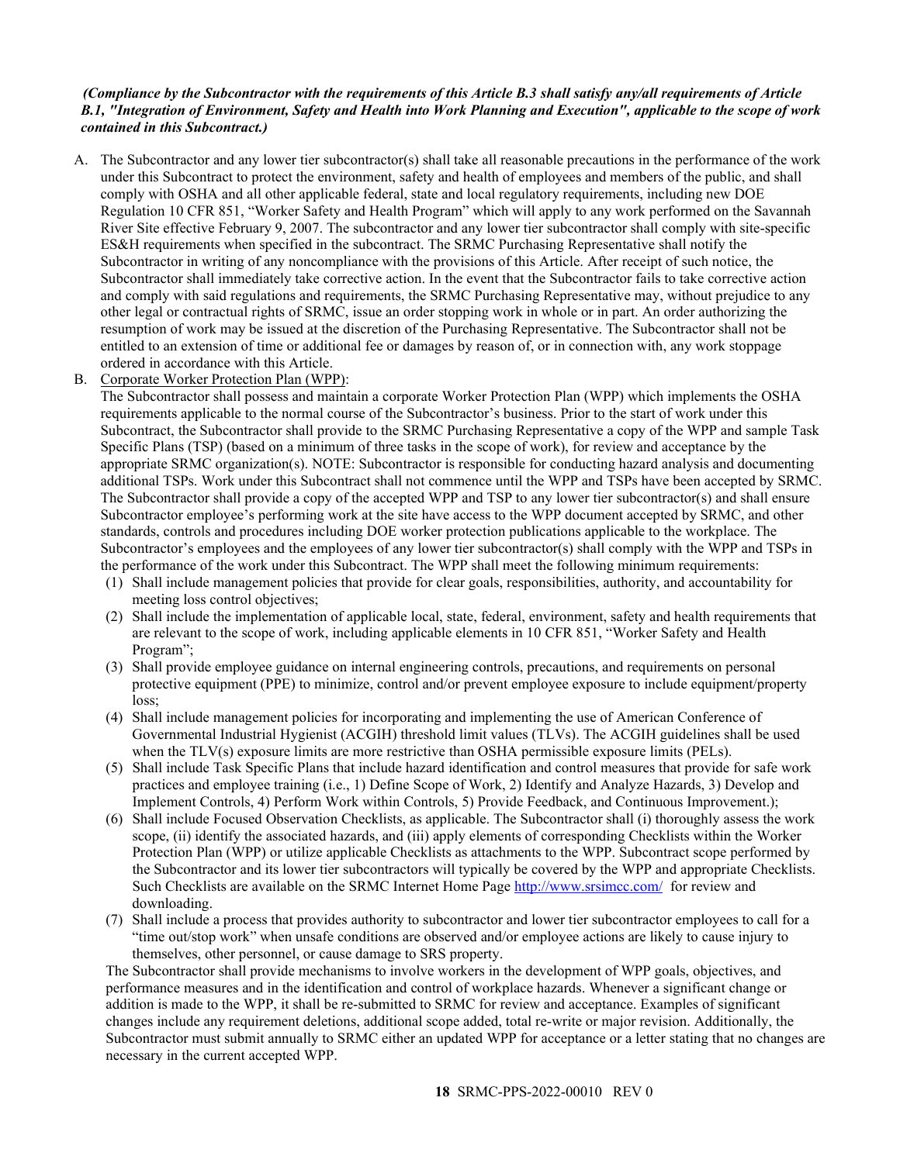### *(Compliance by the Subcontractor with the requirements of this Article B.3 shall satisfy any/all requirements of Article B.1, "Integration of Environment, Safety and Health into Work Planning and Execution", applicable to the scope of work contained in this Subcontract.)*

A. The Subcontractor and any lower tier subcontractor(s) shall take all reasonable precautions in the performance of the work under this Subcontract to protect the environment, safety and health of employees and members of the public, and shall comply with OSHA and all other applicable federal, state and local regulatory requirements, including new DOE Regulation 10 CFR 851, "Worker Safety and Health Program" which will apply to any work performed on the Savannah River Site effective February 9, 2007. The subcontractor and any lower tier subcontractor shall comply with site-specific ES&H requirements when specified in the subcontract. The SRMC Purchasing Representative shall notify the Subcontractor in writing of any noncompliance with the provisions of this Article. After receipt of such notice, the Subcontractor shall immediately take corrective action. In the event that the Subcontractor fails to take corrective action and comply with said regulations and requirements, the SRMC Purchasing Representative may, without prejudice to any other legal or contractual rights of SRMC, issue an order stopping work in whole or in part. An order authorizing the resumption of work may be issued at the discretion of the Purchasing Representative. The Subcontractor shall not be entitled to an extension of time or additional fee or damages by reason of, or in connection with, any work stoppage ordered in accordance with this Article.

#### B. Corporate Worker Protection Plan (WPP):

The Subcontractor shall possess and maintain a corporate Worker Protection Plan (WPP) which implements the OSHA requirements applicable to the normal course of the Subcontractor's business. Prior to the start of work under this Subcontract, the Subcontractor shall provide to the SRMC Purchasing Representative a copy of the WPP and sample Task Specific Plans (TSP) (based on a minimum of three tasks in the scope of work), for review and acceptance by the appropriate SRMC organization(s). NOTE: Subcontractor is responsible for conducting hazard analysis and documenting additional TSPs. Work under this Subcontract shall not commence until the WPP and TSPs have been accepted by SRMC. The Subcontractor shall provide a copy of the accepted WPP and TSP to any lower tier subcontractor(s) and shall ensure Subcontractor employee's performing work at the site have access to the WPP document accepted by SRMC, and other standards, controls and procedures including DOE worker protection publications applicable to the workplace. The Subcontractor's employees and the employees of any lower tier subcontractor(s) shall comply with the WPP and TSPs in the performance of the work under this Subcontract. The WPP shall meet the following minimum requirements:

- (1) Shall include management policies that provide for clear goals, responsibilities, authority, and accountability for meeting loss control objectives;
- (2) Shall include the implementation of applicable local, state, federal, environment, safety and health requirements that are relevant to the scope of work, including applicable elements in 10 CFR 851, "Worker Safety and Health Program";
- (3) Shall provide employee guidance on internal engineering controls, precautions, and requirements on personal protective equipment (PPE) to minimize, control and/or prevent employee exposure to include equipment/property loss;
- (4) Shall include management policies for incorporating and implementing the use of American Conference of Governmental Industrial Hygienist (ACGIH) threshold limit values (TLVs). The ACGIH guidelines shall be used when the TLV(s) exposure limits are more restrictive than OSHA permissible exposure limits (PELs).
- (5) Shall include Task Specific Plans that include hazard identification and control measures that provide for safe work practices and employee training (i.e., 1) Define Scope of Work, 2) Identify and Analyze Hazards, 3) Develop and Implement Controls, 4) Perform Work within Controls, 5) Provide Feedback, and Continuous Improvement.);
- (6) Shall include Focused Observation Checklists, as applicable. The Subcontractor shall (i) thoroughly assess the work scope, (ii) identify the associated hazards, and (iii) apply elements of corresponding Checklists within the Worker Protection Plan (WPP) or utilize applicable Checklists as attachments to the WPP. Subcontract scope performed by the Subcontractor and its lower tier subcontractors will typically be covered by the WPP and appropriate Checklists. Such Checklists are available on the SRMC Internet Home Page<http://www.srsimcc.com/> for review and downloading.
- (7) Shall include a process that provides authority to subcontractor and lower tier subcontractor employees to call for a "time out/stop work" when unsafe conditions are observed and/or employee actions are likely to cause injury to themselves, other personnel, or cause damage to SRS property.

The Subcontractor shall provide mechanisms to involve workers in the development of WPP goals, objectives, and performance measures and in the identification and control of workplace hazards. Whenever a significant change or addition is made to the WPP, it shall be re-submitted to SRMC for review and acceptance. Examples of significant changes include any requirement deletions, additional scope added, total re-write or major revision. Additionally, the Subcontractor must submit annually to SRMC either an updated WPP for acceptance or a letter stating that no changes are necessary in the current accepted WPP.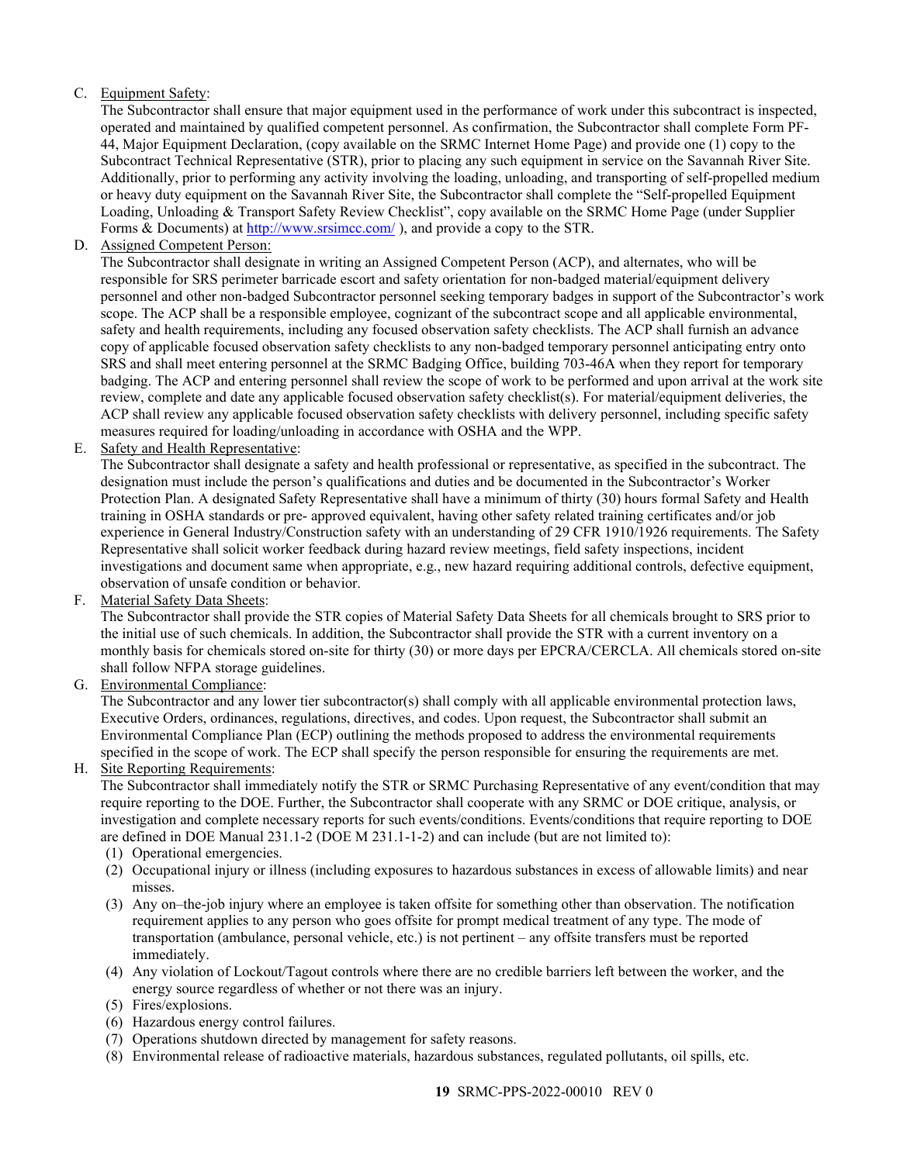## C. Equipment Safety:

The Subcontractor shall ensure that major equipment used in the performance of work under this subcontract is inspected, operated and maintained by qualified competent personnel. As confirmation, the Subcontractor shall complete Form PF-44, Major Equipment Declaration, (copy available on the SRMC Internet Home Page) and provide one (1) copy to the Subcontract Technical Representative (STR), prior to placing any such equipment in service on the Savannah River Site. Additionally, prior to performing any activity involving the loading, unloading, and transporting of self-propelled medium or heavy duty equipment on the Savannah River Site, the Subcontractor shall complete the "Self-propelled Equipment Loading, Unloading & Transport Safety Review Checklist", copy available on the SRMC Home Page (under Supplier Forms & Documents) at <http://www.srsimcc.com/> ), and provide a copy to the STR.

D. Assigned Competent Person:

The Subcontractor shall designate in writing an Assigned Competent Person (ACP), and alternates, who will be responsible for SRS perimeter barricade escort and safety orientation for non-badged material/equipment delivery personnel and other non-badged Subcontractor personnel seeking temporary badges in support of the Subcontractor's work scope. The ACP shall be a responsible employee, cognizant of the subcontract scope and all applicable environmental, safety and health requirements, including any focused observation safety checklists. The ACP shall furnish an advance copy of applicable focused observation safety checklists to any non-badged temporary personnel anticipating entry onto SRS and shall meet entering personnel at the SRMC Badging Office, building 703-46A when they report for temporary badging. The ACP and entering personnel shall review the scope of work to be performed and upon arrival at the work site review, complete and date any applicable focused observation safety checklist(s). For material/equipment deliveries, the ACP shall review any applicable focused observation safety checklists with delivery personnel, including specific safety measures required for loading/unloading in accordance with OSHA and the WPP.

E. Safety and Health Representative:

The Subcontractor shall designate a safety and health professional or representative, as specified in the subcontract. The designation must include the person's qualifications and duties and be documented in the Subcontractor's Worker Protection Plan. A designated Safety Representative shall have a minimum of thirty (30) hours formal Safety and Health training in OSHA standards or pre- approved equivalent, having other safety related training certificates and/or job experience in General Industry/Construction safety with an understanding of 29 CFR 1910/1926 requirements. The Safety Representative shall solicit worker feedback during hazard review meetings, field safety inspections, incident investigations and document same when appropriate, e.g., new hazard requiring additional controls, defective equipment, observation of unsafe condition or behavior.

F. Material Safety Data Sheets:

The Subcontractor shall provide the STR copies of Material Safety Data Sheets for all chemicals brought to SRS prior to the initial use of such chemicals. In addition, the Subcontractor shall provide the STR with a current inventory on a monthly basis for chemicals stored on-site for thirty (30) or more days per EPCRA/CERCLA. All chemicals stored on-site shall follow NFPA storage guidelines.

G. Environmental Compliance:

The Subcontractor and any lower tier subcontractor(s) shall comply with all applicable environmental protection laws, Executive Orders, ordinances, regulations, directives, and codes. Upon request, the Subcontractor shall submit an Environmental Compliance Plan (ECP) outlining the methods proposed to address the environmental requirements specified in the scope of work. The ECP shall specify the person responsible for ensuring the requirements are met.

H. Site Reporting Requirements:

The Subcontractor shall immediately notify the STR or SRMC Purchasing Representative of any event/condition that may require reporting to the DOE. Further, the Subcontractor shall cooperate with any SRMC or DOE critique, analysis, or investigation and complete necessary reports for such events/conditions. Events/conditions that require reporting to DOE are defined in DOE Manual 231.1-2 (DOE M 231.1-1-2) and can include (but are not limited to):

- (1) Operational emergencies.
- (2) Occupational injury or illness (including exposures to hazardous substances in excess of allowable limits) and near misses.
- (3) Any on–the-job injury where an employee is taken offsite for something other than observation. The notification requirement applies to any person who goes offsite for prompt medical treatment of any type. The mode of transportation (ambulance, personal vehicle, etc.) is not pertinent – any offsite transfers must be reported immediately.
- (4) Any violation of Lockout/Tagout controls where there are no credible barriers left between the worker, and the energy source regardless of whether or not there was an injury.
- (5) Fires/explosions.
- (6) Hazardous energy control failures.
- (7) Operations shutdown directed by management for safety reasons.
- (8) Environmental release of radioactive materials, hazardous substances, regulated pollutants, oil spills, etc.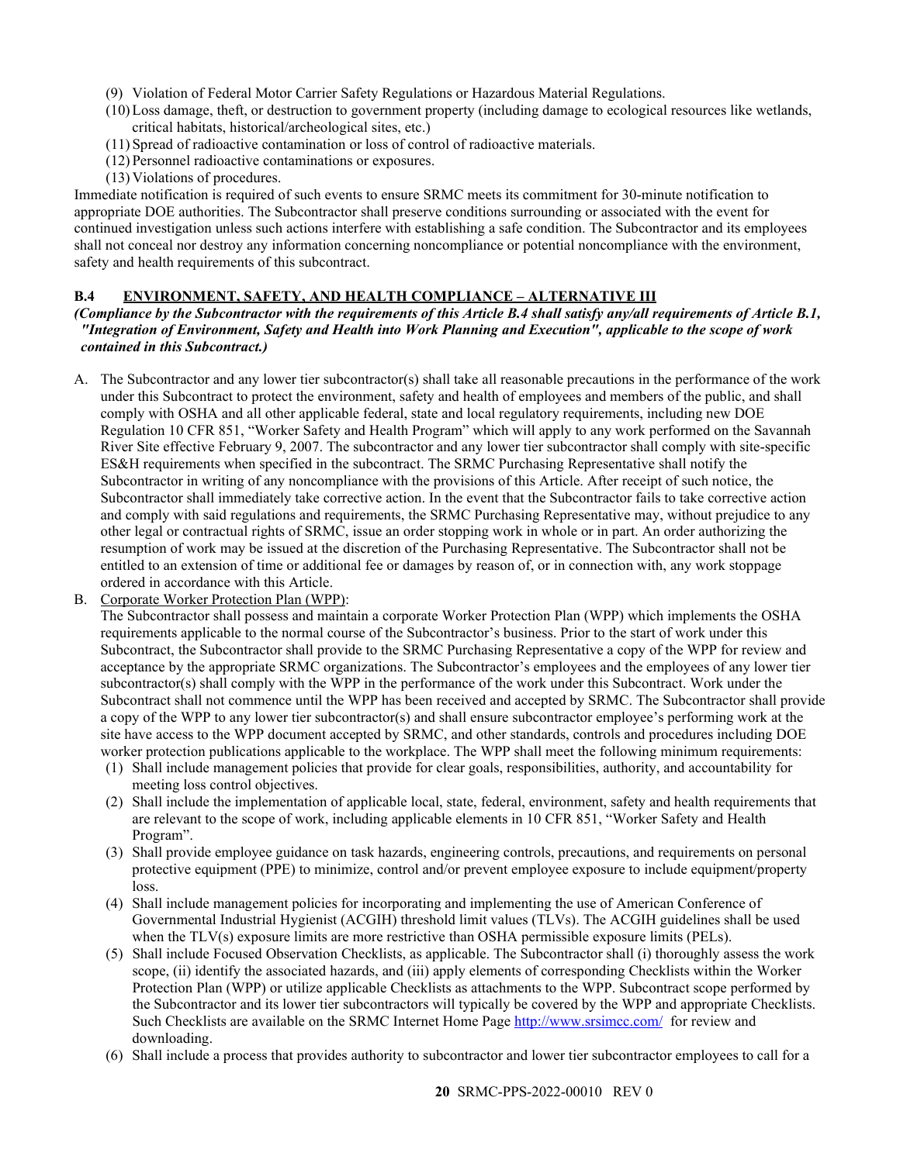- (9) Violation of Federal Motor Carrier Safety Regulations or Hazardous Material Regulations.
- (10)Loss damage, theft, or destruction to government property (including damage to ecological resources like wetlands, critical habitats, historical/archeological sites, etc.)
- (11) Spread of radioactive contamination or loss of control of radioactive materials.
- (12) Personnel radioactive contaminations or exposures.
- (13) Violations of procedures.

Immediate notification is required of such events to ensure SRMC meets its commitment for 30-minute notification to appropriate DOE authorities. The Subcontractor shall preserve conditions surrounding or associated with the event for continued investigation unless such actions interfere with establishing a safe condition. The Subcontractor and its employees shall not conceal nor destroy any information concerning noncompliance or potential noncompliance with the environment, safety and health requirements of this subcontract.

## <span id="page-19-0"></span>**B.4 ENVIRONMENT, SAFETY, AND HEALTH COMPLIANCE – ALTERNATIVE III**

#### *(Compliance by the Subcontractor with the requirements of this Article B.4 shall satisfy any/all requirements of Article B.1, "Integration of Environment, Safety and Health into Work Planning and Execution", applicable to the scope of work contained in this Subcontract.)*

- A. The Subcontractor and any lower tier subcontractor(s) shall take all reasonable precautions in the performance of the work under this Subcontract to protect the environment, safety and health of employees and members of the public, and shall comply with OSHA and all other applicable federal, state and local regulatory requirements, including new DOE Regulation 10 CFR 851, "Worker Safety and Health Program" which will apply to any work performed on the Savannah River Site effective February 9, 2007. The subcontractor and any lower tier subcontractor shall comply with site-specific ES&H requirements when specified in the subcontract. The SRMC Purchasing Representative shall notify the Subcontractor in writing of any noncompliance with the provisions of this Article. After receipt of such notice, the Subcontractor shall immediately take corrective action. In the event that the Subcontractor fails to take corrective action and comply with said regulations and requirements, the SRMC Purchasing Representative may, without prejudice to any other legal or contractual rights of SRMC, issue an order stopping work in whole or in part. An order authorizing the resumption of work may be issued at the discretion of the Purchasing Representative. The Subcontractor shall not be entitled to an extension of time or additional fee or damages by reason of, or in connection with, any work stoppage ordered in accordance with this Article.
- B. Corporate Worker Protection Plan (WPP):

The Subcontractor shall possess and maintain a corporate Worker Protection Plan (WPP) which implements the OSHA requirements applicable to the normal course of the Subcontractor's business. Prior to the start of work under this Subcontract, the Subcontractor shall provide to the SRMC Purchasing Representative a copy of the WPP for review and acceptance by the appropriate SRMC organizations. The Subcontractor's employees and the employees of any lower tier subcontractor(s) shall comply with the WPP in the performance of the work under this Subcontract. Work under the Subcontract shall not commence until the WPP has been received and accepted by SRMC. The Subcontractor shall provide a copy of the WPP to any lower tier subcontractor(s) and shall ensure subcontractor employee's performing work at the site have access to the WPP document accepted by SRMC, and other standards, controls and procedures including DOE worker protection publications applicable to the workplace. The WPP shall meet the following minimum requirements:

- (1) Shall include management policies that provide for clear goals, responsibilities, authority, and accountability for meeting loss control objectives.
- (2) Shall include the implementation of applicable local, state, federal, environment, safety and health requirements that are relevant to the scope of work, including applicable elements in 10 CFR 851, "Worker Safety and Health Program".
- (3) Shall provide employee guidance on task hazards, engineering controls, precautions, and requirements on personal protective equipment (PPE) to minimize, control and/or prevent employee exposure to include equipment/property loss.
- (4) Shall include management policies for incorporating and implementing the use of American Conference of Governmental Industrial Hygienist (ACGIH) threshold limit values (TLVs). The ACGIH guidelines shall be used when the TLV(s) exposure limits are more restrictive than OSHA permissible exposure limits (PELs).
- (5) Shall include Focused Observation Checklists, as applicable. The Subcontractor shall (i) thoroughly assess the work scope, (ii) identify the associated hazards, and (iii) apply elements of corresponding Checklists within the Worker Protection Plan (WPP) or utilize applicable Checklists as attachments to the WPP. Subcontract scope performed by the Subcontractor and its lower tier subcontractors will typically be covered by the WPP and appropriate Checklists. Such Checklists are available on the SRMC Internet Home Page<http://www.srsimcc.com/> for review and downloading.
- (6) Shall include a process that provides authority to subcontractor and lower tier subcontractor employees to call for a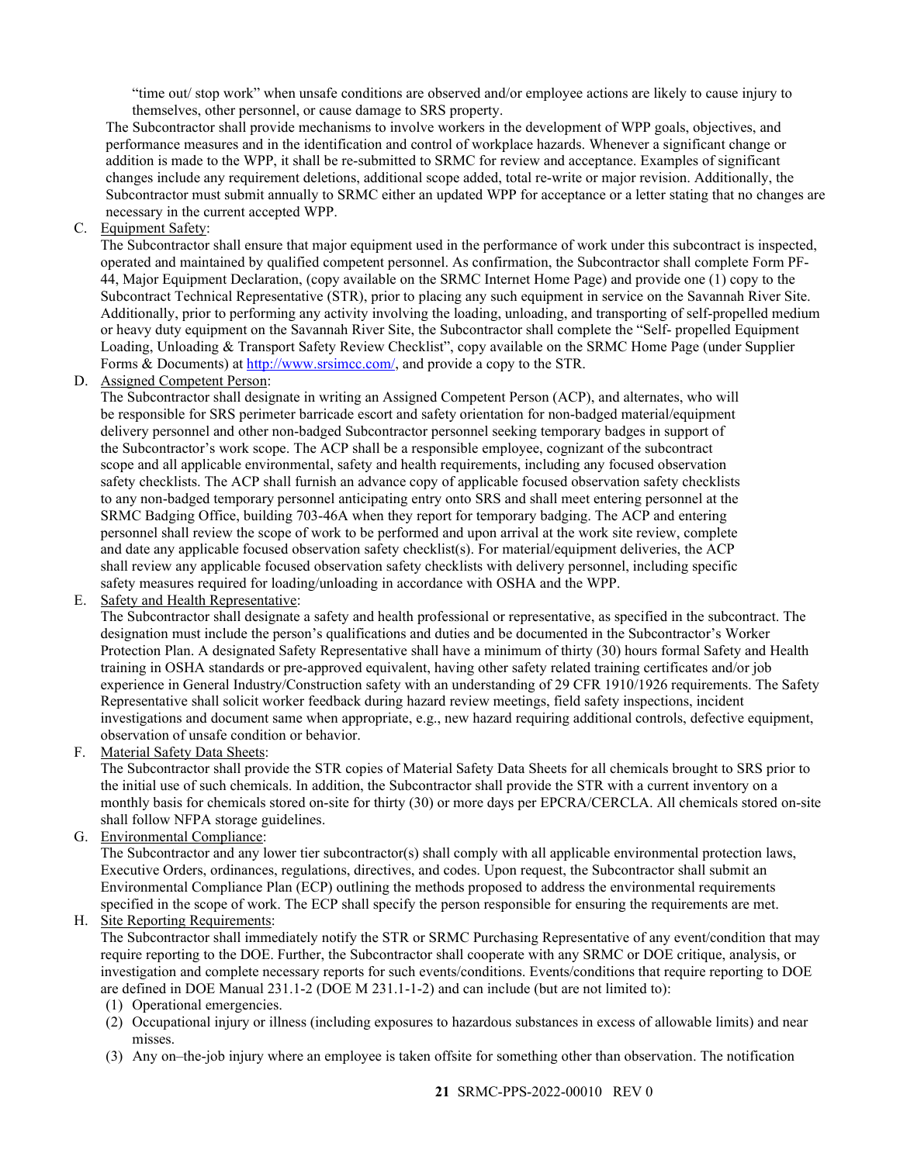"time out/ stop work" when unsafe conditions are observed and/or employee actions are likely to cause injury to themselves, other personnel, or cause damage to SRS property.

The Subcontractor shall provide mechanisms to involve workers in the development of WPP goals, objectives, and performance measures and in the identification and control of workplace hazards. Whenever a significant change or addition is made to the WPP, it shall be re-submitted to SRMC for review and acceptance. Examples of significant changes include any requirement deletions, additional scope added, total re-write or major revision. Additionally, the Subcontractor must submit annually to SRMC either an updated WPP for acceptance or a letter stating that no changes are necessary in the current accepted WPP.

C. Equipment Safety:

The Subcontractor shall ensure that major equipment used in the performance of work under this subcontract is inspected, operated and maintained by qualified competent personnel. As confirmation, the Subcontractor shall complete Form PF-44, Major Equipment Declaration, (copy available on the SRMC Internet Home Page) and provide one (1) copy to the Subcontract Technical Representative (STR), prior to placing any such equipment in service on the Savannah River Site. Additionally, prior to performing any activity involving the loading, unloading, and transporting of self-propelled medium or heavy duty equipment on the Savannah River Site, the Subcontractor shall complete the "Self- propelled Equipment Loading, Unloading & Transport Safety Review Checklist", copy available on the SRMC Home Page (under Supplier Forms & Documents) at [http://www.srsimcc.com/,](http://www.srsimcc.com/) and provide a copy to the STR.

D. Assigned Competent Person:

The Subcontractor shall designate in writing an Assigned Competent Person (ACP), and alternates, who will be responsible for SRS perimeter barricade escort and safety orientation for non-badged material/equipment delivery personnel and other non-badged Subcontractor personnel seeking temporary badges in support of the Subcontractor's work scope. The ACP shall be a responsible employee, cognizant of the subcontract scope and all applicable environmental, safety and health requirements, including any focused observation safety checklists. The ACP shall furnish an advance copy of applicable focused observation safety checklists to any non-badged temporary personnel anticipating entry onto SRS and shall meet entering personnel at the SRMC Badging Office, building 703-46A when they report for temporary badging. The ACP and entering personnel shall review the scope of work to be performed and upon arrival at the work site review, complete and date any applicable focused observation safety checklist(s). For material/equipment deliveries, the ACP shall review any applicable focused observation safety checklists with delivery personnel, including specific safety measures required for loading/unloading in accordance with OSHA and the WPP.

E. Safety and Health Representative:

The Subcontractor shall designate a safety and health professional or representative, as specified in the subcontract. The designation must include the person's qualifications and duties and be documented in the Subcontractor's Worker Protection Plan. A designated Safety Representative shall have a minimum of thirty (30) hours formal Safety and Health training in OSHA standards or pre-approved equivalent, having other safety related training certificates and/or job experience in General Industry/Construction safety with an understanding of 29 CFR 1910/1926 requirements. The Safety Representative shall solicit worker feedback during hazard review meetings, field safety inspections, incident investigations and document same when appropriate, e.g., new hazard requiring additional controls, defective equipment, observation of unsafe condition or behavior.

F. Material Safety Data Sheets:

The Subcontractor shall provide the STR copies of Material Safety Data Sheets for all chemicals brought to SRS prior to the initial use of such chemicals. In addition, the Subcontractor shall provide the STR with a current inventory on a monthly basis for chemicals stored on-site for thirty (30) or more days per EPCRA/CERCLA. All chemicals stored on-site shall follow NFPA storage guidelines.

G. Environmental Compliance:

The Subcontractor and any lower tier subcontractor(s) shall comply with all applicable environmental protection laws, Executive Orders, ordinances, regulations, directives, and codes. Upon request, the Subcontractor shall submit an Environmental Compliance Plan (ECP) outlining the methods proposed to address the environmental requirements specified in the scope of work. The ECP shall specify the person responsible for ensuring the requirements are met.

H. Site Reporting Requirements:

The Subcontractor shall immediately notify the STR or SRMC Purchasing Representative of any event/condition that may require reporting to the DOE. Further, the Subcontractor shall cooperate with any SRMC or DOE critique, analysis, or investigation and complete necessary reports for such events/conditions. Events/conditions that require reporting to DOE are defined in DOE Manual 231.1-2 (DOE M 231.1-1-2) and can include (but are not limited to):

- (1) Operational emergencies.
- (2) Occupational injury or illness (including exposures to hazardous substances in excess of allowable limits) and near misses.
- (3) Any on–the-job injury where an employee is taken offsite for something other than observation. The notification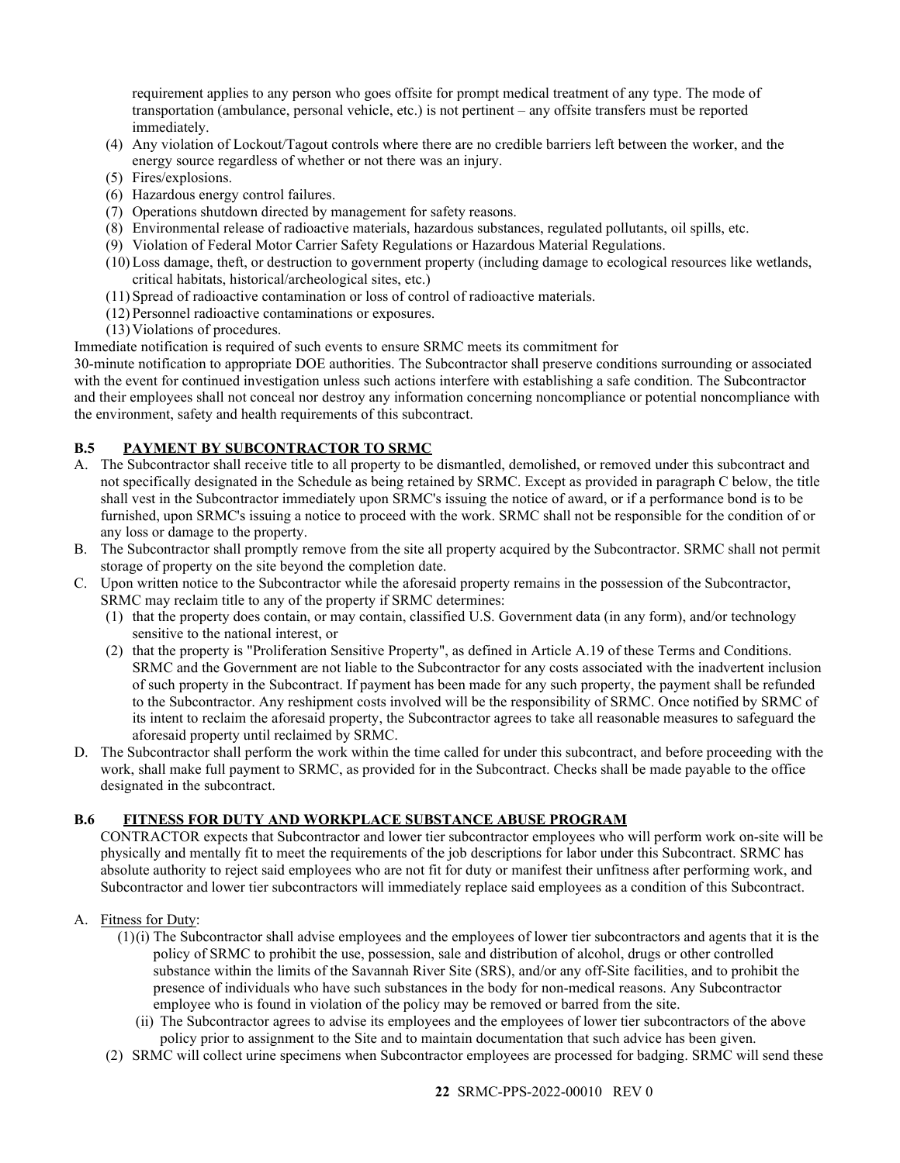requirement applies to any person who goes offsite for prompt medical treatment of any type. The mode of transportation (ambulance, personal vehicle, etc.) is not pertinent – any offsite transfers must be reported immediately.

- (4) Any violation of Lockout/Tagout controls where there are no credible barriers left between the worker, and the energy source regardless of whether or not there was an injury.
- (5) Fires/explosions.
- (6) Hazardous energy control failures.
- (7) Operations shutdown directed by management for safety reasons.
- (8) Environmental release of radioactive materials, hazardous substances, regulated pollutants, oil spills, etc.
- (9) Violation of Federal Motor Carrier Safety Regulations or Hazardous Material Regulations.
- (10)Loss damage, theft, or destruction to government property (including damage to ecological resources like wetlands, critical habitats, historical/archeological sites, etc.)
- (11) Spread of radioactive contamination or loss of control of radioactive materials.
- (12) Personnel radioactive contaminations or exposures.
- (13) Violations of procedures.

Immediate notification is required of such events to ensure SRMC meets its commitment for

30-minute notification to appropriate DOE authorities. The Subcontractor shall preserve conditions surrounding or associated with the event for continued investigation unless such actions interfere with establishing a safe condition. The Subcontractor and their employees shall not conceal nor destroy any information concerning noncompliance or potential noncompliance with the environment, safety and health requirements of this subcontract.

### <span id="page-21-0"></span>**B.5 PAYMENT BY SUBCONTRACTOR TO SRMC**

- A. The Subcontractor shall receive title to all property to be dismantled, demolished, or removed under this subcontract and not specifically designated in the Schedule as being retained by SRMC. Except as provided in paragraph C below, the title shall vest in the Subcontractor immediately upon SRMC's issuing the notice of award, or if a performance bond is to be furnished, upon SRMC's issuing a notice to proceed with the work. SRMC shall not be responsible for the condition of or any loss or damage to the property.
- B. The Subcontractor shall promptly remove from the site all property acquired by the Subcontractor. SRMC shall not permit storage of property on the site beyond the completion date.
- C. Upon written notice to the Subcontractor while the aforesaid property remains in the possession of the Subcontractor, SRMC may reclaim title to any of the property if SRMC determines:
	- (1) that the property does contain, or may contain, classified U.S. Government data (in any form), and/or technology sensitive to the national interest, or
	- (2) that the property is "Proliferation Sensitive Property", as defined in Article A.19 of these Terms and Conditions. SRMC and the Government are not liable to the Subcontractor for any costs associated with the inadvertent inclusion of such property in the Subcontract. If payment has been made for any such property, the payment shall be refunded to the Subcontractor. Any reshipment costs involved will be the responsibility of SRMC. Once notified by SRMC of its intent to reclaim the aforesaid property, the Subcontractor agrees to take all reasonable measures to safeguard the aforesaid property until reclaimed by SRMC.
- D. The Subcontractor shall perform the work within the time called for under this subcontract, and before proceeding with the work, shall make full payment to SRMC, as provided for in the Subcontract. Checks shall be made payable to the office designated in the subcontract.

### <span id="page-21-1"></span>**B.6 FITNESS FOR DUTY AND WORKPLACE SUBSTANCE ABUSE PROGRAM**

CONTRACTOR expects that Subcontractor and lower tier subcontractor employees who will perform work on-site will be physically and mentally fit to meet the requirements of the job descriptions for labor under this Subcontract. SRMC has absolute authority to reject said employees who are not fit for duty or manifest their unfitness after performing work, and Subcontractor and lower tier subcontractors will immediately replace said employees as a condition of this Subcontract.

### A. Fitness for Duty:

- (1)(i) The Subcontractor shall advise employees and the employees of lower tier subcontractors and agents that it is the policy of SRMC to prohibit the use, possession, sale and distribution of alcohol, drugs or other controlled substance within the limits of the Savannah River Site (SRS), and/or any off-Site facilities, and to prohibit the presence of individuals who have such substances in the body for non-medical reasons. Any Subcontractor employee who is found in violation of the policy may be removed or barred from the site.
	- (ii) The Subcontractor agrees to advise its employees and the employees of lower tier subcontractors of the above policy prior to assignment to the Site and to maintain documentation that such advice has been given.
- (2) SRMC will collect urine specimens when Subcontractor employees are processed for badging. SRMC will send these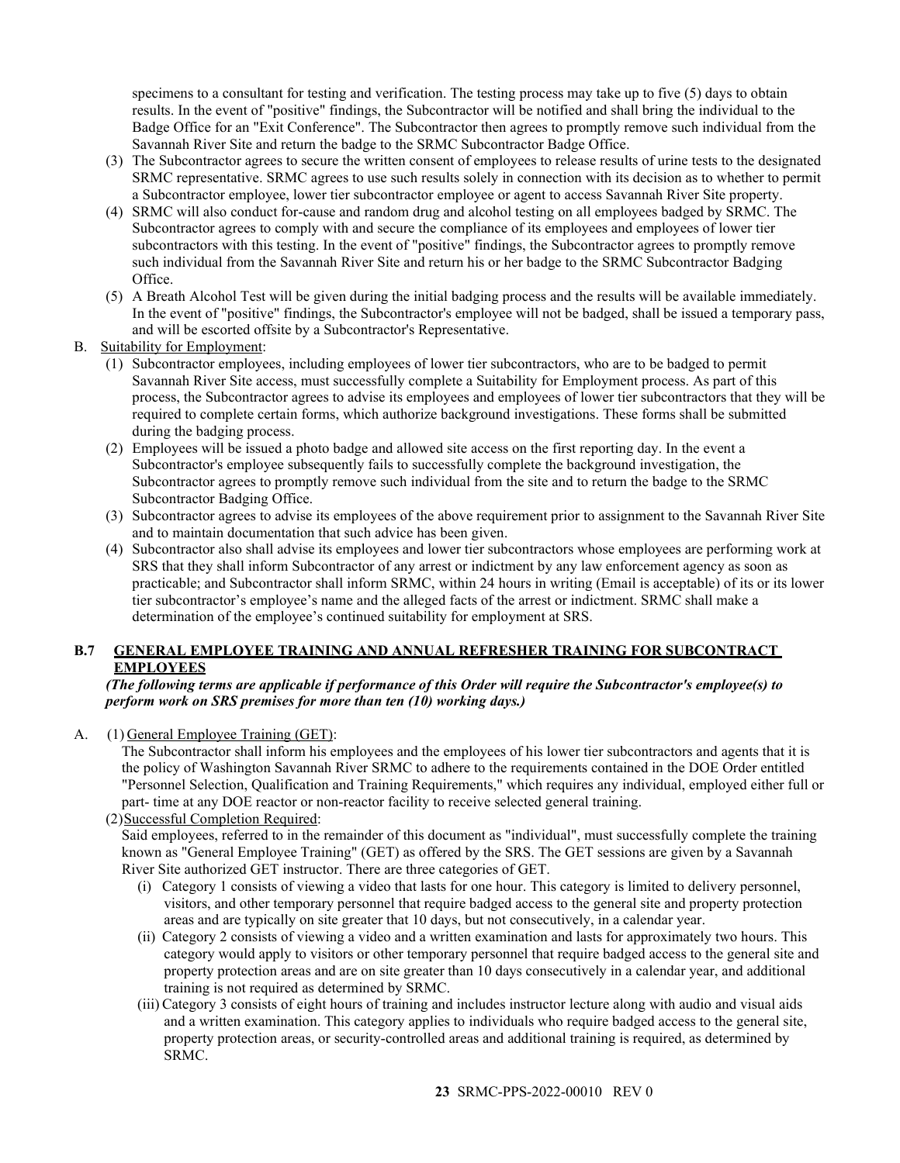specimens to a consultant for testing and verification. The testing process may take up to five (5) days to obtain results. In the event of "positive" findings, the Subcontractor will be notified and shall bring the individual to the Badge Office for an "Exit Conference". The Subcontractor then agrees to promptly remove such individual from the Savannah River Site and return the badge to the SRMC Subcontractor Badge Office.

- (3) The Subcontractor agrees to secure the written consent of employees to release results of urine tests to the designated SRMC representative. SRMC agrees to use such results solely in connection with its decision as to whether to permit a Subcontractor employee, lower tier subcontractor employee or agent to access Savannah River Site property.
- (4) SRMC will also conduct for-cause and random drug and alcohol testing on all employees badged by SRMC. The Subcontractor agrees to comply with and secure the compliance of its employees and employees of lower tier subcontractors with this testing. In the event of "positive" findings, the Subcontractor agrees to promptly remove such individual from the Savannah River Site and return his or her badge to the SRMC Subcontractor Badging Office.
- (5) A Breath Alcohol Test will be given during the initial badging process and the results will be available immediately. In the event of "positive" findings, the Subcontractor's employee will not be badged, shall be issued a temporary pass, and will be escorted offsite by a Subcontractor's Representative.
- B. Suitability for Employment:
	- (1) Subcontractor employees, including employees of lower tier subcontractors, who are to be badged to permit Savannah River Site access, must successfully complete a Suitability for Employment process. As part of this process, the Subcontractor agrees to advise its employees and employees of lower tier subcontractors that they will be required to complete certain forms, which authorize background investigations. These forms shall be submitted during the badging process.
	- (2) Employees will be issued a photo badge and allowed site access on the first reporting day. In the event a Subcontractor's employee subsequently fails to successfully complete the background investigation, the Subcontractor agrees to promptly remove such individual from the site and to return the badge to the SRMC Subcontractor Badging Office.
	- (3) Subcontractor agrees to advise its employees of the above requirement prior to assignment to the Savannah River Site and to maintain documentation that such advice has been given.
	- (4) Subcontractor also shall advise its employees and lower tier subcontractors whose employees are performing work at SRS that they shall inform Subcontractor of any arrest or indictment by any law enforcement agency as soon as practicable; and Subcontractor shall inform SRMC, within 24 hours in writing (Email is acceptable) of its or its lower tier subcontractor's employee's name and the alleged facts of the arrest or indictment. SRMC shall make a determination of the employee's continued suitability for employment at SRS.

## <span id="page-22-0"></span>**B.7 GENERAL EMPLOYEE TRAINING AND ANNUAL REFRESHER TRAINING FOR SUBCONTRACT EMPLOYEES**

### *(The following terms are applicable if performance of this Order will require the Subcontractor's employee(s) to perform work on SRS premises for more than ten (10) working days.)*

A. (1) General Employee Training (GET):

The Subcontractor shall inform his employees and the employees of his lower tier subcontractors and agents that it is the policy of Washington Savannah River SRMC to adhere to the requirements contained in the DOE Order entitled "Personnel Selection, Qualification and Training Requirements," which requires any individual, employed either full or part- time at any DOE reactor or non-reactor facility to receive selected general training.

(2)Successful Completion Required:

Said employees, referred to in the remainder of this document as "individual", must successfully complete the training known as "General Employee Training" (GET) as offered by the SRS. The GET sessions are given by a Savannah River Site authorized GET instructor. There are three categories of GET.

- (i) Category 1 consists of viewing a video that lasts for one hour. This category is limited to delivery personnel, visitors, and other temporary personnel that require badged access to the general site and property protection areas and are typically on site greater that 10 days, but not consecutively, in a calendar year.
- (ii) Category 2 consists of viewing a video and a written examination and lasts for approximately two hours. This category would apply to visitors or other temporary personnel that require badged access to the general site and property protection areas and are on site greater than 10 days consecutively in a calendar year, and additional training is not required as determined by SRMC.
- (iii) Category 3 consists of eight hours of training and includes instructor lecture along with audio and visual aids and a written examination. This category applies to individuals who require badged access to the general site, property protection areas, or security-controlled areas and additional training is required, as determined by SRMC.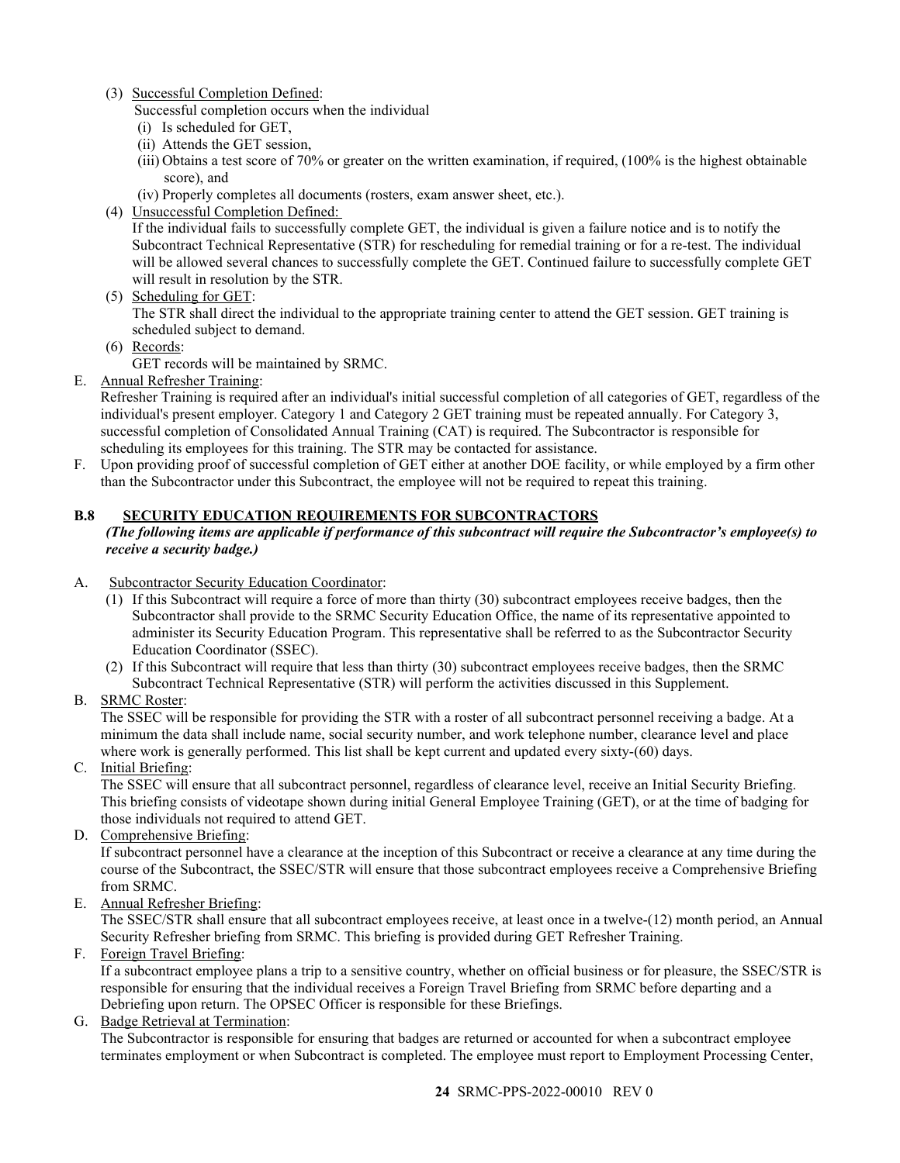- (3) Successful Completion Defined:
	- Successful completion occurs when the individual
	- (i) Is scheduled for GET,
	- (ii) Attends the GET session,
	- (iii) Obtains a test score of 70% or greater on the written examination, if required, (100% is the highest obtainable score), and
	- (iv) Properly completes all documents (rosters, exam answer sheet, etc.).
- (4) Unsuccessful Completion Defined:

If the individual fails to successfully complete GET, the individual is given a failure notice and is to notify the Subcontract Technical Representative (STR) for rescheduling for remedial training or for a re-test. The individual will be allowed several chances to successfully complete the GET. Continued failure to successfully complete GET will result in resolution by the STR.

(5) Scheduling for GET:

The STR shall direct the individual to the appropriate training center to attend the GET session. GET training is scheduled subject to demand.

- (6) Records:
	- GET records will be maintained by SRMC.
- E. Annual Refresher Training:

Refresher Training is required after an individual's initial successful completion of all categories of GET, regardless of the individual's present employer. Category 1 and Category 2 GET training must be repeated annually. For Category 3, successful completion of Consolidated Annual Training (CAT) is required. The Subcontractor is responsible for scheduling its employees for this training. The STR may be contacted for assistance.

F. Upon providing proof of successful completion of GET either at another DOE facility, or while employed by a firm other than the Subcontractor under this Subcontract, the employee will not be required to repeat this training.

## <span id="page-23-0"></span>**B.8 SECURITY EDUCATION REQUIREMENTS FOR SUBCONTRACTORS**

#### *(The following items are applicable if performance of this subcontract will require the Subcontractor's employee(s) to receive a security badge.)*

- A. Subcontractor Security Education Coordinator:
	- (1) If this Subcontract will require a force of more than thirty (30) subcontract employees receive badges, then the Subcontractor shall provide to the SRMC Security Education Office, the name of its representative appointed to administer its Security Education Program. This representative shall be referred to as the Subcontractor Security Education Coordinator (SSEC).
	- (2) If this Subcontract will require that less than thirty (30) subcontract employees receive badges, then the SRMC Subcontract Technical Representative (STR) will perform the activities discussed in this Supplement.
- B. SRMC Roster:

The SSEC will be responsible for providing the STR with a roster of all subcontract personnel receiving a badge. At a minimum the data shall include name, social security number, and work telephone number, clearance level and place where work is generally performed. This list shall be kept current and updated every sixty-(60) days.

C. Initial Briefing:

The SSEC will ensure that all subcontract personnel, regardless of clearance level, receive an Initial Security Briefing. This briefing consists of videotape shown during initial General Employee Training (GET), or at the time of badging for those individuals not required to attend GET.

D. Comprehensive Briefing:

If subcontract personnel have a clearance at the inception of this Subcontract or receive a clearance at any time during the course of the Subcontract, the SSEC/STR will ensure that those subcontract employees receive a Comprehensive Briefing from SRMC.

E. Annual Refresher Briefing:

The SSEC/STR shall ensure that all subcontract employees receive, at least once in a twelve-(12) month period, an Annual Security Refresher briefing from SRMC. This briefing is provided during GET Refresher Training.

F. Foreign Travel Briefing:

If a subcontract employee plans a trip to a sensitive country, whether on official business or for pleasure, the SSEC/STR is responsible for ensuring that the individual receives a Foreign Travel Briefing from SRMC before departing and a Debriefing upon return. The OPSEC Officer is responsible for these Briefings.

G. Badge Retrieval at Termination:

The Subcontractor is responsible for ensuring that badges are returned or accounted for when a subcontract employee terminates employment or when Subcontract is completed. The employee must report to Employment Processing Center,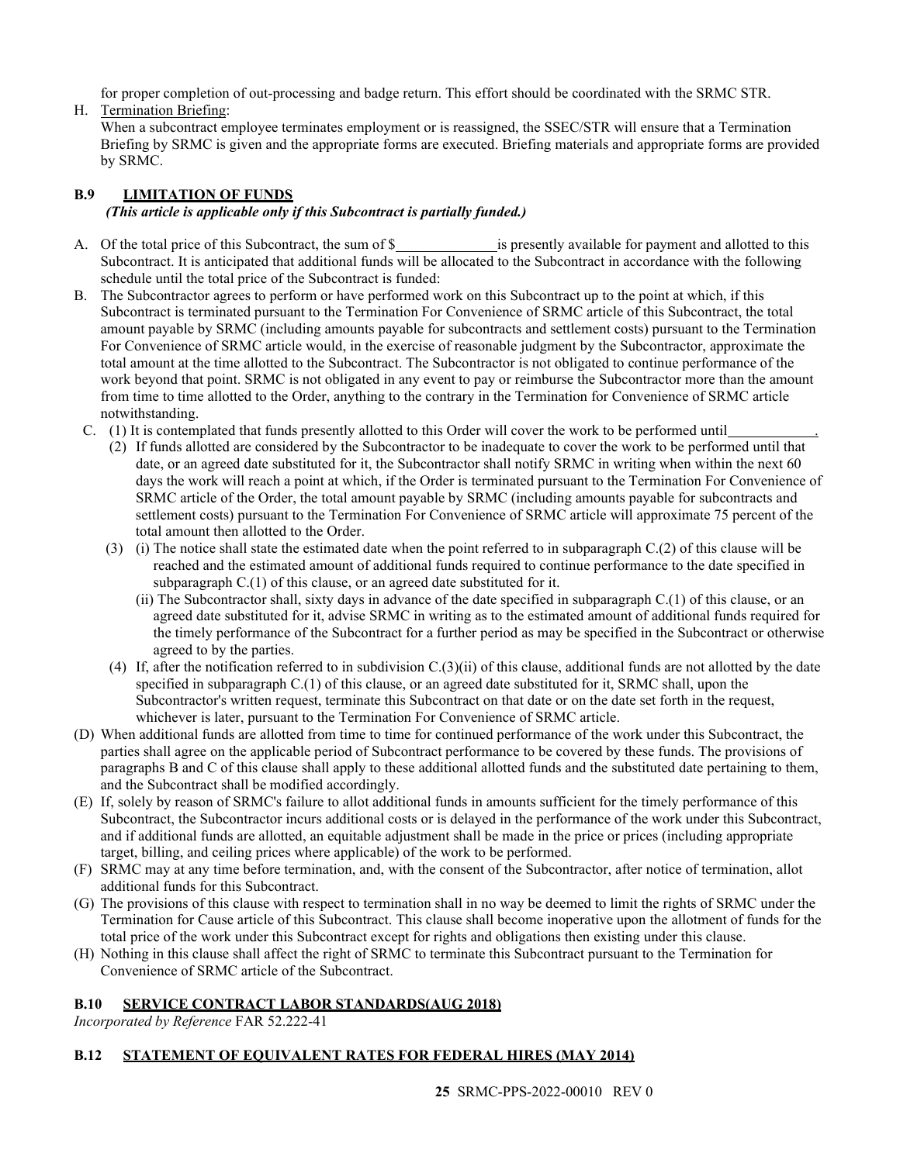for proper completion of out-processing and badge return. This effort should be coordinated with the SRMC STR.

H. Termination Briefing:

When a subcontract employee terminates employment or is reassigned, the SSEC/STR will ensure that a Termination Briefing by SRMC is given and the appropriate forms are executed. Briefing materials and appropriate forms are provided by SRMC.

## <span id="page-24-0"></span>**B.9 LIMITATION OF FUNDS** *(This article is applicable only if this Subcontract is partially funded.)*

- A. Of the total price of this Subcontract, the sum of \$ is presently available for payment and allotted to this Subcontract. It is anticipated that additional funds will be allocated to the Subcontract in accordance with the following schedule until the total price of the Subcontract is funded:
- B. The Subcontractor agrees to perform or have performed work on this Subcontract up to the point at which, if this Subcontract is terminated pursuant to the Termination For Convenience of SRMC article of this Subcontract, the total amount payable by SRMC (including amounts payable for subcontracts and settlement costs) pursuant to the Termination For Convenience of SRMC article would, in the exercise of reasonable judgment by the Subcontractor, approximate the total amount at the time allotted to the Subcontract. The Subcontractor is not obligated to continue performance of the work beyond that point. SRMC is not obligated in any event to pay or reimburse the Subcontractor more than the amount from time to time allotted to the Order, anything to the contrary in the Termination for Convenience of SRMC article notwithstanding.
	- C. (1) It is contemplated that funds presently allotted to this Order will cover the work to be performed until .
		- (2) If funds allotted are considered by the Subcontractor to be inadequate to cover the work to be performed until that date, or an agreed date substituted for it, the Subcontractor shall notify SRMC in writing when within the next 60 days the work will reach a point at which, if the Order is terminated pursuant to the Termination For Convenience of SRMC article of the Order, the total amount payable by SRMC (including amounts payable for subcontracts and settlement costs) pursuant to the Termination For Convenience of SRMC article will approximate 75 percent of the total amount then allotted to the Order.
		- (3) (i) The notice shall state the estimated date when the point referred to in subparagraph C.(2) of this clause will be reached and the estimated amount of additional funds required to continue performance to the date specified in subparagraph C.(1) of this clause, or an agreed date substituted for it.
			- (ii) The Subcontractor shall, sixty days in advance of the date specified in subparagraph C.(1) of this clause, or an agreed date substituted for it, advise SRMC in writing as to the estimated amount of additional funds required for the timely performance of the Subcontract for a further period as may be specified in the Subcontract or otherwise agreed to by the parties.
		- (4) If, after the notification referred to in subdivision  $C(3)(ii)$  of this clause, additional funds are not allotted by the date specified in subparagraph C.(1) of this clause, or an agreed date substituted for it, SRMC shall, upon the Subcontractor's written request, terminate this Subcontract on that date or on the date set forth in the request, whichever is later, pursuant to the Termination For Convenience of SRMC article.
- (D) When additional funds are allotted from time to time for continued performance of the work under this Subcontract, the parties shall agree on the applicable period of Subcontract performance to be covered by these funds. The provisions of paragraphs B and C of this clause shall apply to these additional allotted funds and the substituted date pertaining to them, and the Subcontract shall be modified accordingly.
- (E) If, solely by reason of SRMC's failure to allot additional funds in amounts sufficient for the timely performance of this Subcontract, the Subcontractor incurs additional costs or is delayed in the performance of the work under this Subcontract, and if additional funds are allotted, an equitable adjustment shall be made in the price or prices (including appropriate target, billing, and ceiling prices where applicable) of the work to be performed.
- (F) SRMC may at any time before termination, and, with the consent of the Subcontractor, after notice of termination, allot additional funds for this Subcontract.
- (G) The provisions of this clause with respect to termination shall in no way be deemed to limit the rights of SRMC under the Termination for Cause article of this Subcontract. This clause shall become inoperative upon the allotment of funds for the total price of the work under this Subcontract except for rights and obligations then existing under this clause.
- (H) Nothing in this clause shall affect the right of SRMC to terminate this Subcontract pursuant to the Termination for Convenience of SRMC article of the Subcontract.

## <span id="page-24-1"></span>**B.10 SERVICE CONTRACT LABOR STANDARDS(AUG 2018)**

*Incorporated by Reference* FAR 52.222-41

## **B.12 STATEMENT OF EQUIVALENT RATES FOR FEDERAL HIRES (MAY 2014)**